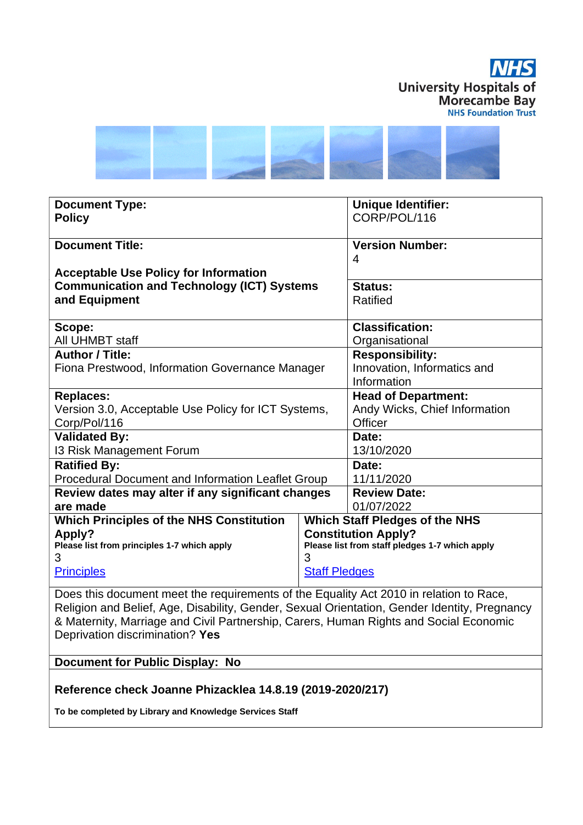



| <b>Document Type:</b>                               | <b>Unique Identifier:</b><br>CORP/POL/116      |
|-----------------------------------------------------|------------------------------------------------|
| <b>Policy</b>                                       |                                                |
| <b>Document Title:</b>                              | <b>Version Number:</b>                         |
|                                                     | 4                                              |
| <b>Acceptable Use Policy for Information</b>        |                                                |
| <b>Communication and Technology (ICT) Systems</b>   | <b>Status:</b>                                 |
| and Equipment                                       | Ratified                                       |
| Scope:                                              | <b>Classification:</b>                         |
| All UHMBT staff                                     | Organisational                                 |
| <b>Author / Title:</b>                              | <b>Responsibility:</b>                         |
| Fiona Prestwood, Information Governance Manager     | Innovation, Informatics and                    |
|                                                     | Information                                    |
| <b>Replaces:</b>                                    | <b>Head of Department:</b>                     |
| Version 3.0, Acceptable Use Policy for ICT Systems, | Andy Wicks, Chief Information                  |
| Corp/Pol/116                                        | Officer                                        |
| <b>Validated By:</b>                                | Date:                                          |
| <b>I3 Risk Management Forum</b>                     | 13/10/2020                                     |
| <b>Ratified By:</b>                                 | Date:                                          |
| Procedural Document and Information Leaflet Group   | 11/11/2020                                     |
| Review dates may alter if any significant changes   | <b>Review Date:</b>                            |
| are made                                            | 01/07/2022                                     |
| <b>Which Principles of the NHS Constitution</b>     | <b>Which Staff Pledges of the NHS</b>          |
| Apply?                                              | <b>Constitution Apply?</b>                     |
| Please list from principles 1-7 which apply         | Please list from staff pledges 1-7 which apply |
| 3                                                   | 3                                              |
| <b>Principles</b>                                   | <b>Staff Pledges</b>                           |

Does this document meet the requirements of the Equality Act 2010 in relation to Race, Religion and Belief, Age, Disability, Gender, Sexual Orientation, Gender Identity, Pregnancy & Maternity, Marriage and Civil Partnership, Carers, Human Rights and Social Economic Deprivation discrimination? **Yes**

**Document for Public Display: No**

**Reference check Joanne Phizacklea 14.8.19 (2019-2020/217)**

**To be completed by Library and Knowledge Services Staff**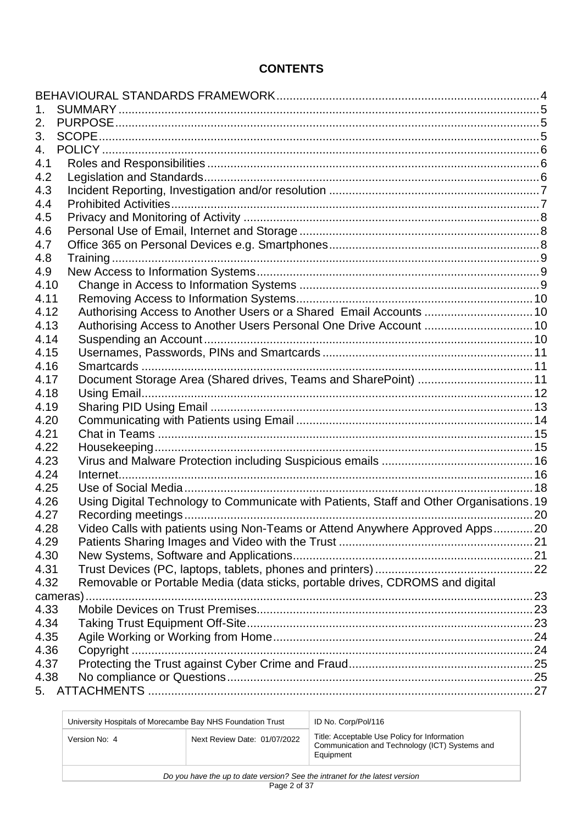#### **CONTENTS**

| 1.   |                                                                                          |  |
|------|------------------------------------------------------------------------------------------|--|
| 2.   |                                                                                          |  |
| 3.   |                                                                                          |  |
| 4.   |                                                                                          |  |
| 4.1  |                                                                                          |  |
| 4.2  |                                                                                          |  |
| 4.3  |                                                                                          |  |
| 4.4  |                                                                                          |  |
| 4.5  |                                                                                          |  |
| 4.6  |                                                                                          |  |
| 4.7  |                                                                                          |  |
| 4.8  |                                                                                          |  |
| 4.9  |                                                                                          |  |
| 4.10 |                                                                                          |  |
| 4.11 |                                                                                          |  |
| 4.12 | Authorising Access to Another Users or a Shared Email Accounts  10                       |  |
| 4.13 | Authorising Access to Another Users Personal One Drive Account 10                        |  |
| 4.14 |                                                                                          |  |
| 4.15 |                                                                                          |  |
| 4.16 |                                                                                          |  |
| 4.17 | Document Storage Area (Shared drives, Teams and SharePoint)  11                          |  |
| 4.18 |                                                                                          |  |
| 4.19 |                                                                                          |  |
| 4.20 |                                                                                          |  |
| 4.21 |                                                                                          |  |
| 4.22 |                                                                                          |  |
| 4.23 |                                                                                          |  |
| 4.24 |                                                                                          |  |
| 4.25 |                                                                                          |  |
| 4.26 | Using Digital Technology to Communicate with Patients, Staff and Other Organisations. 19 |  |
| 4.27 |                                                                                          |  |
| 4.28 | Video Calls with patients using Non-Teams or Attend Anywhere Approved Apps20             |  |
| 4.29 |                                                                                          |  |
| 4.30 |                                                                                          |  |
| 4.31 |                                                                                          |  |
| 4.32 | Removable or Portable Media (data sticks, portable drives, CDROMS and digital            |  |
|      |                                                                                          |  |
| 4.33 |                                                                                          |  |
| 4.34 |                                                                                          |  |
| 4.35 |                                                                                          |  |
| 4.36 |                                                                                          |  |
| 4.37 |                                                                                          |  |
| 4.38 |                                                                                          |  |
|      |                                                                                          |  |

| University Hospitals of Morecambe Bay NHS Foundation Trust                  |                              | ID No. Corp/Pol/116                                                                                         |
|-----------------------------------------------------------------------------|------------------------------|-------------------------------------------------------------------------------------------------------------|
| Version No: 4                                                               | Next Review Date: 01/07/2022 | Title: Acceptable Use Policy for Information<br>Communication and Technology (ICT) Systems and<br>Equipment |
| Do you have the up to date version? See the intranet for the latest version |                              |                                                                                                             |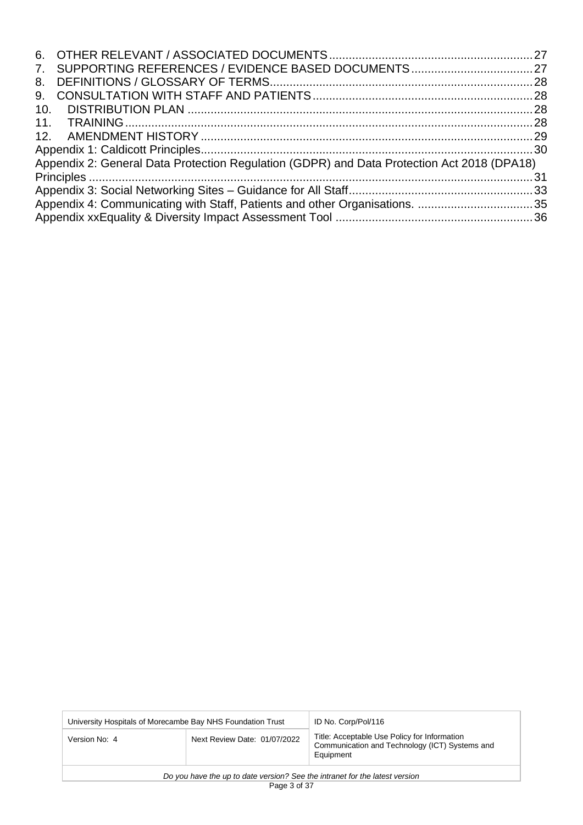| 10. |                                                                                            |  |
|-----|--------------------------------------------------------------------------------------------|--|
|     |                                                                                            |  |
|     |                                                                                            |  |
|     |                                                                                            |  |
|     | Appendix 2: General Data Protection Regulation (GDPR) and Data Protection Act 2018 (DPA18) |  |
|     |                                                                                            |  |
|     |                                                                                            |  |
|     |                                                                                            |  |
|     |                                                                                            |  |

| University Hospitals of Morecambe Bay NHS Foundation Trust                                  |                              | ID No. Corp/Pol/116                                                                                         |
|---------------------------------------------------------------------------------------------|------------------------------|-------------------------------------------------------------------------------------------------------------|
| Version No: 4                                                                               | Next Review Date: 01/07/2022 | Title: Acceptable Use Policy for Information<br>Communication and Technology (ICT) Systems and<br>Equipment |
| Do you have the up to date version? See the intranet for the latest version<br>Page 3 of 37 |                              |                                                                                                             |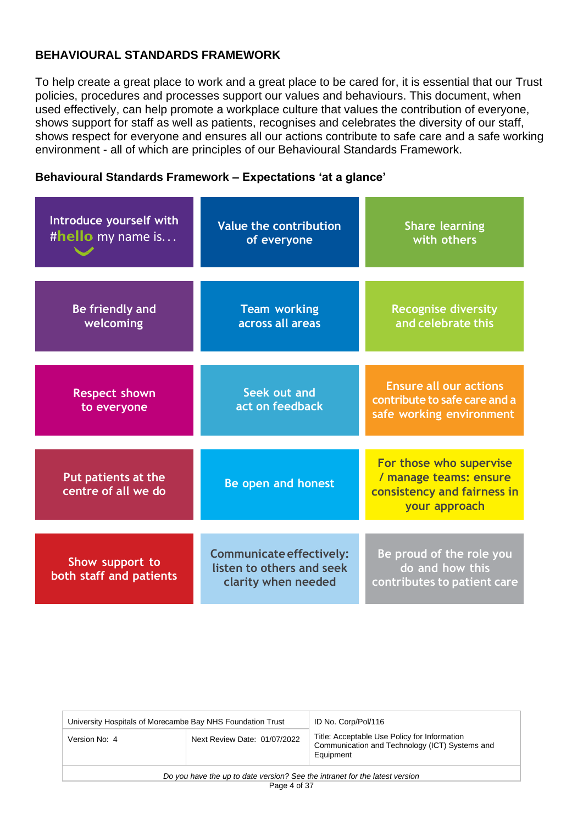#### <span id="page-3-0"></span>**BEHAVIOURAL STANDARDS FRAMEWORK**

To help create a great place to work and a great place to be cared for, it is essential that our Trust policies, procedures and processes support our values and behaviours. This document, when used effectively, can help promote a workplace culture that values the contribution of everyone, shows support for staff as well as patients, recognises and celebrates the diversity of our staff, shows respect for everyone and ensures all our actions contribute to safe care and a safe working environment - all of which are principles of our Behavioural Standards Framework.

#### **Behavioural Standards Framework – Expectations 'at a glance'**

| Introduce yourself with<br><b>#hello</b> my name is | <b>Value the contribution</b><br>of everyone                                        | <b>Share learning</b><br>with others                                                              |
|-----------------------------------------------------|-------------------------------------------------------------------------------------|---------------------------------------------------------------------------------------------------|
| <b>Be friendly and</b><br>welcoming                 | <b>Team working</b><br>across all areas                                             | <b>Recognise diversity</b><br>and celebrate this                                                  |
| <b>Respect shown</b><br>to everyone                 | Seek out and<br>act on feedback                                                     | <b>Ensure all our actions</b><br>contribute to safe care and a<br>safe working environment        |
| Put patients at the<br>centre of all we do          | Be open and honest                                                                  | For those who supervise<br>/ manage teams: ensure<br>consistency and fairness in<br>your approach |
| Show support to<br>both staff and patients          | <b>Communicate effectively:</b><br>listen to others and seek<br>clarity when needed | Be proud of the role you<br>do and how this<br>contributes to patient care                        |

| University Hospitals of Morecambe Bay NHS Foundation Trust                  |                              | ID No. Corp/Pol/116                                                                                         |
|-----------------------------------------------------------------------------|------------------------------|-------------------------------------------------------------------------------------------------------------|
| Version No: 4                                                               | Next Review Date: 01/07/2022 | Title: Acceptable Use Policy for Information<br>Communication and Technology (ICT) Systems and<br>Equipment |
| Do you have the up to date version? See the intranet for the latest version |                              |                                                                                                             |
| Page 4 of 37                                                                |                              |                                                                                                             |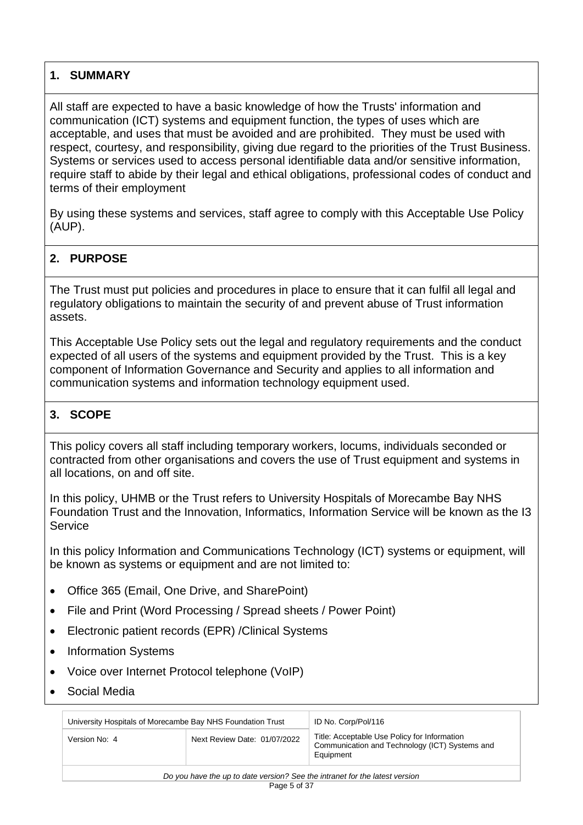### <span id="page-4-0"></span>**1. SUMMARY**

All staff are expected to have a basic knowledge of how the Trusts' information and communication (ICT) systems and equipment function, the types of uses which are acceptable, and uses that must be avoided and are prohibited. They must be used with respect, courtesy, and responsibility, giving due regard to the priorities of the Trust Business. Systems or services used to access personal identifiable data and/or sensitive information, require staff to abide by their legal and ethical obligations, professional codes of conduct and terms of their employment

By using these systems and services, staff agree to comply with this Acceptable Use Policy (AUP).

## <span id="page-4-1"></span>**2. PURPOSE**

The Trust must put policies and procedures in place to ensure that it can fulfil all legal and regulatory obligations to maintain the security of and prevent abuse of Trust information assets.

This Acceptable Use Policy sets out the legal and regulatory requirements and the conduct expected of all users of the systems and equipment provided by the Trust. This is a key component of Information Governance and Security and applies to all information and communication systems and information technology equipment used.

## <span id="page-4-2"></span>**3. SCOPE**

This policy covers all staff including temporary workers, locums, individuals seconded or contracted from other organisations and covers the use of Trust equipment and systems in all locations, on and off site.

In this policy, UHMB or the Trust refers to University Hospitals of Morecambe Bay NHS Foundation Trust and the Innovation, Informatics, Information Service will be known as the I3 **Service** 

In this policy Information and Communications Technology (ICT) systems or equipment, will be known as systems or equipment and are not limited to:

- Office 365 (Email, One Drive, and SharePoint)
- File and Print (Word Processing / Spread sheets / Power Point)
- Electronic patient records (EPR) /Clinical Systems
- Information Systems
- Voice over Internet Protocol telephone (VoIP)
- Social Media

| University Hospitals of Morecambe Bay NHS Foundation Trust                  |                              | ID No. Corp/Pol/116                                                                                         |
|-----------------------------------------------------------------------------|------------------------------|-------------------------------------------------------------------------------------------------------------|
| Version No: 4                                                               | Next Review Date: 01/07/2022 | Title: Acceptable Use Policy for Information<br>Communication and Technology (ICT) Systems and<br>Equipment |
| Do you have the up to date version? See the intranet for the latest version |                              |                                                                                                             |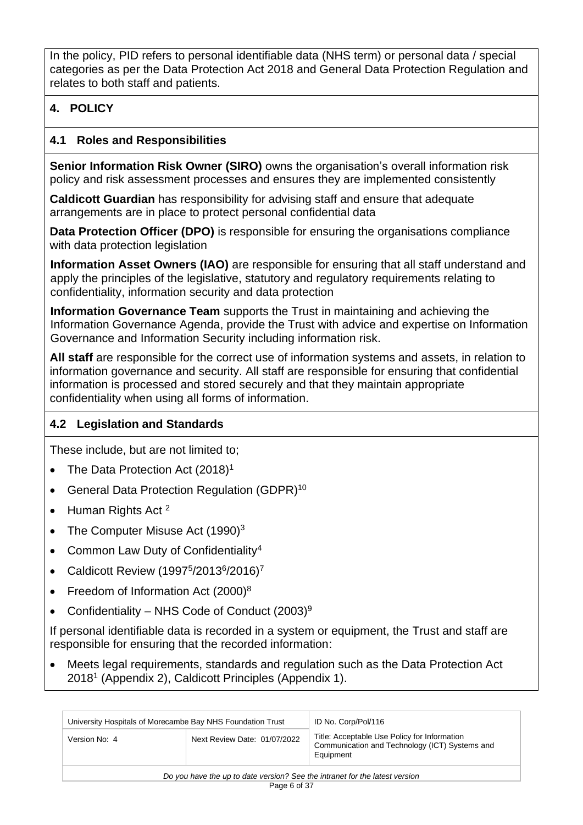In the policy, PID refers to personal identifiable data (NHS term) or personal data / special categories as per the Data Protection Act 2018 and General Data Protection Regulation and relates to both staff and patients.

## <span id="page-5-0"></span>**4. POLICY**

## <span id="page-5-1"></span>**4.1 Roles and Responsibilities**

**Senior Information Risk Owner (SIRO)** owns the organisation's overall information risk policy and risk assessment processes and ensures they are implemented consistently

**Caldicott Guardian** has responsibility for advising staff and ensure that adequate arrangements are in place to protect personal confidential data

**Data Protection Officer (DPO)** is responsible for ensuring the organisations compliance with data protection legislation

**Information Asset Owners (IAO)** are responsible for ensuring that all staff understand and apply the principles of the legislative, statutory and regulatory requirements relating to confidentiality, information security and data protection

**Information Governance Team** supports the Trust in maintaining and achieving the Information Governance Agenda, provide the Trust with advice and expertise on Information Governance and Information Security including information risk.

**All staff** are responsible for the correct use of information systems and assets, in relation to information governance and security. All staff are responsible for ensuring that confidential information is processed and stored securely and that they maintain appropriate confidentiality when using all forms of information.

## <span id="page-5-2"></span>**4.2 Legislation and Standards**

These include, but are not limited to;

- The Data Protection Act (2018)<sup>1</sup>
- General Data Protection Regulation (GDPR)<sup>10</sup>
- Human Rights Act<sup>2</sup>
- The Computer Misuse Act (1990)<sup>3</sup>
- Common Law Duty of Confidentiality<sup>4</sup>
- Caldicott Review (1997<sup>5</sup>/2013<sup>6</sup>/2016)<sup>7</sup>
- Freedom of Information Act (2000)<sup>8</sup>
- Confidentiality NHS Code of Conduct  $(2003)^9$

If personal identifiable data is recorded in a system or equipment, the Trust and staff are responsible for ensuring that the recorded information:

• Meets legal requirements, standards and regulation such as the Data Protection Act 2018<sup>1</sup> (Appendix 2), Caldicott Principles (Appendix 1).

| University Hospitals of Morecambe Bay NHS Foundation Trust                                  |  | ID No. Corp/Pol/116                                                                                         |
|---------------------------------------------------------------------------------------------|--|-------------------------------------------------------------------------------------------------------------|
| Next Review Date: 01/07/2022<br>Version No: 4                                               |  | Title: Acceptable Use Policy for Information<br>Communication and Technology (ICT) Systems and<br>Equipment |
| Do you have the up to date version? See the intranet for the latest version<br>Page 6 of 37 |  |                                                                                                             |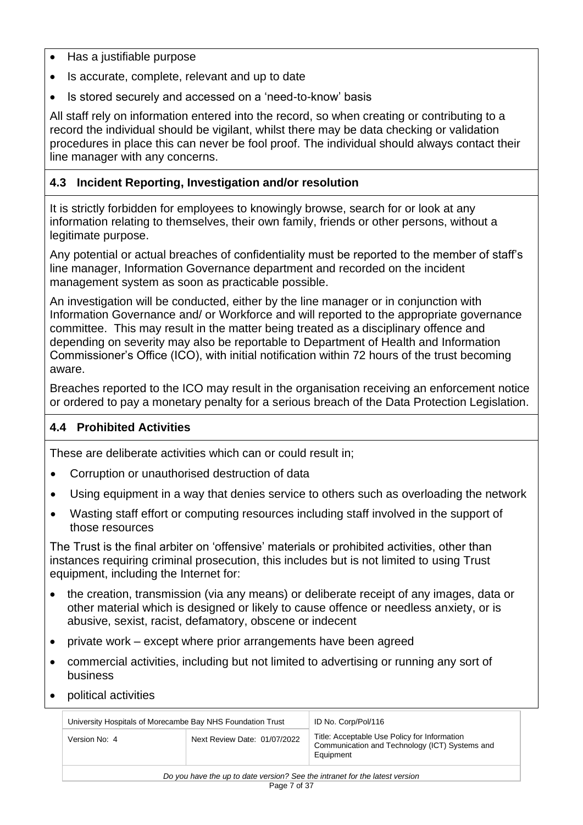- Has a justifiable purpose
- Is accurate, complete, relevant and up to date
- Is stored securely and accessed on a 'need-to-know' basis

All staff rely on information entered into the record, so when creating or contributing to a record the individual should be vigilant, whilst there may be data checking or validation procedures in place this can never be fool proof. The individual should always contact their line manager with any concerns.

#### <span id="page-6-0"></span>**4.3 Incident Reporting, Investigation and/or resolution**

It is strictly forbidden for employees to knowingly browse, search for or look at any information relating to themselves, their own family, friends or other persons, without a legitimate purpose.

Any potential or actual breaches of confidentiality must be reported to the member of staff's line manager, Information Governance department and recorded on the incident management system as soon as practicable possible.

An investigation will be conducted, either by the line manager or in conjunction with Information Governance and/ or Workforce and will reported to the appropriate governance committee. This may result in the matter being treated as a disciplinary offence and depending on severity may also be reportable to Department of Health and Information Commissioner's Office (ICO), with initial notification within 72 hours of the trust becoming aware.

Breaches reported to the ICO may result in the organisation receiving an enforcement notice or ordered to pay a monetary penalty for a serious breach of the Data Protection Legislation.

#### <span id="page-6-1"></span>**4.4 Prohibited Activities**

These are deliberate activities which can or could result in;

- Corruption or unauthorised destruction of data
- Using equipment in a way that denies service to others such as overloading the network
- Wasting staff effort or computing resources including staff involved in the support of those resources

The Trust is the final arbiter on 'offensive' materials or prohibited activities, other than instances requiring criminal prosecution, this includes but is not limited to using Trust equipment, including the Internet for:

- the creation, transmission (via any means) or deliberate receipt of any images, data or other material which is designed or likely to cause offence or needless anxiety, or is abusive, sexist, racist, defamatory, obscene or indecent
- private work except where prior arrangements have been agreed
- commercial activities, including but not limited to advertising or running any sort of business
- political activities

| University Hospitals of Morecambe Bay NHS Foundation Trust                  |                              | ID No. Corp/Pol/116                                                                                         |  |
|-----------------------------------------------------------------------------|------------------------------|-------------------------------------------------------------------------------------------------------------|--|
| Version No: 4                                                               | Next Review Date: 01/07/2022 | Title: Acceptable Use Policy for Information<br>Communication and Technology (ICT) Systems and<br>Equipment |  |
| Do you have the up to date version? See the intranet for the latest version |                              |                                                                                                             |  |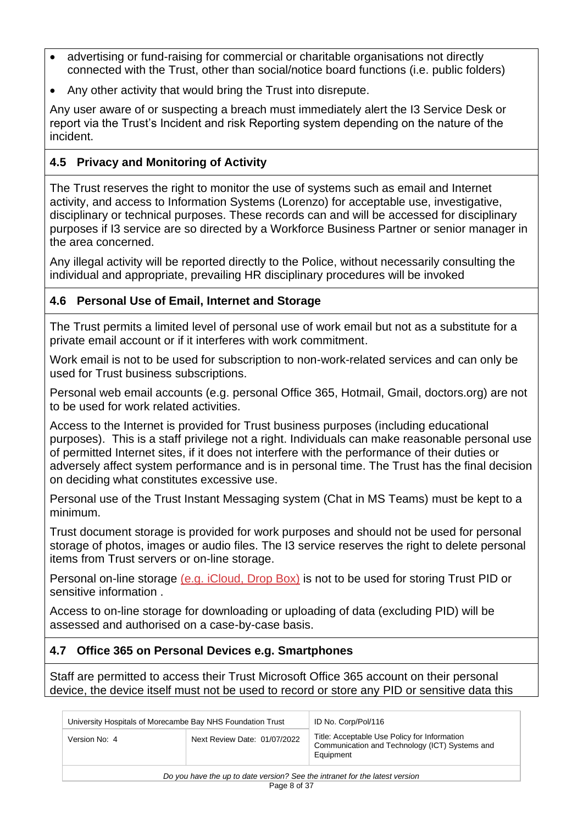- advertising or fund-raising for commercial or charitable organisations not directly connected with the Trust, other than social/notice board functions (i.e. public folders)
- Any other activity that would bring the Trust into disrepute.

Any user aware of or suspecting a breach must immediately alert the I3 Service Desk or report via the Trust's Incident and risk Reporting system depending on the nature of the incident.

#### <span id="page-7-0"></span>**4.5 Privacy and Monitoring of Activity**

The Trust reserves the right to monitor the use of systems such as email and Internet activity, and access to Information Systems (Lorenzo) for acceptable use, investigative, disciplinary or technical purposes. These records can and will be accessed for disciplinary purposes if I3 service are so directed by a Workforce Business Partner or senior manager in the area concerned.

Any illegal activity will be reported directly to the Police, without necessarily consulting the individual and appropriate, prevailing HR disciplinary procedures will be invoked

#### <span id="page-7-1"></span>**4.6 Personal Use of Email, Internet and Storage**

The Trust permits a limited level of personal use of work email but not as a substitute for a private email account or if it interferes with work commitment.

Work email is not to be used for subscription to non-work-related services and can only be used for Trust business subscriptions.

Personal web email accounts (e.g. personal Office 365, Hotmail, Gmail, doctors.org) are not to be used for work related activities.

Access to the Internet is provided for Trust business purposes (including educational purposes). This is a staff privilege not a right. Individuals can make reasonable personal use of permitted Internet sites, if it does not interfere with the performance of their duties or adversely affect system performance and is in personal time. The Trust has the final decision on deciding what constitutes excessive use.

Personal use of the Trust Instant Messaging system (Chat in MS Teams) must be kept to a minimum.

Trust document storage is provided for work purposes and should not be used for personal storage of photos, images or audio files. The I3 service reserves the right to delete personal items from Trust servers or on-line storage.

Personal on-line storage (e.g. iCloud, Drop Box) is not to be used for storing Trust PID or sensitive information .

Access to on-line storage for downloading or uploading of data (excluding PID) will be assessed and authorised on a case-by-case basis.

## <span id="page-7-2"></span>**4.7 Office 365 on Personal Devices e.g. Smartphones**

Staff are permitted to access their Trust Microsoft Office 365 account on their personal device, the device itself must not be used to record or store any PID or sensitive data this

| University Hospitals of Morecambe Bay NHS Foundation Trust                  |                              | ID No. Corp/Pol/116                                                                                         |
|-----------------------------------------------------------------------------|------------------------------|-------------------------------------------------------------------------------------------------------------|
| Version No: 4                                                               | Next Review Date: 01/07/2022 | Title: Acceptable Use Policy for Information<br>Communication and Technology (ICT) Systems and<br>Equipment |
| Do you have the up to date version? See the intranet for the latest version |                              |                                                                                                             |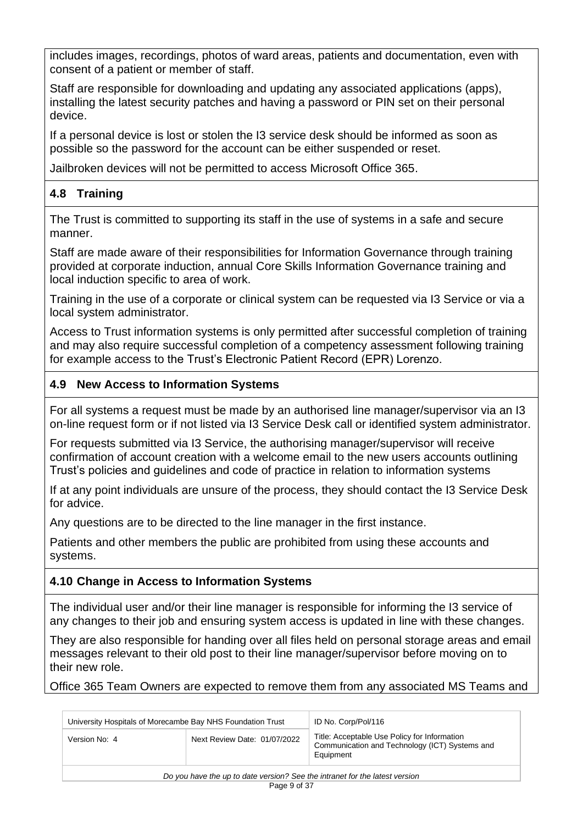includes images, recordings, photos of ward areas, patients and documentation, even with consent of a patient or member of staff.

Staff are responsible for downloading and updating any associated applications (apps), installing the latest security patches and having a password or PIN set on their personal device.

If a personal device is lost or stolen the I3 service desk should be informed as soon as possible so the password for the account can be either suspended or reset.

Jailbroken devices will not be permitted to access Microsoft Office 365.

## <span id="page-8-0"></span>**4.8 Training**

The Trust is committed to supporting its staff in the use of systems in a safe and secure manner.

Staff are made aware of their responsibilities for Information Governance through training provided at corporate induction, annual Core Skills Information Governance training and local induction specific to area of work.

Training in the use of a corporate or clinical system can be requested via I3 Service or via a local system administrator.

Access to Trust information systems is only permitted after successful completion of training and may also require successful completion of a competency assessment following training for example access to the Trust's Electronic Patient Record (EPR) Lorenzo.

#### <span id="page-8-1"></span>**4.9 New Access to Information Systems**

For all systems a request must be made by an authorised line manager/supervisor via an I3 on-line request form or if not listed via I3 Service Desk call or identified system administrator.

For requests submitted via I3 Service, the authorising manager/supervisor will receive confirmation of account creation with a welcome email to the new users accounts outlining Trust's policies and guidelines and code of practice in relation to information systems

If at any point individuals are unsure of the process, they should contact the I3 Service Desk for advice.

Any questions are to be directed to the line manager in the first instance.

Patients and other members the public are prohibited from using these accounts and systems.

#### <span id="page-8-2"></span>**4.10 Change in Access to Information Systems**

The individual user and/or their line manager is responsible for informing the I3 service of any changes to their job and ensuring system access is updated in line with these changes.

They are also responsible for handing over all files held on personal storage areas and email messages relevant to their old post to their line manager/supervisor before moving on to their new role.

Office 365 Team Owners are expected to remove them from any associated MS Teams and

| University Hospitals of Morecambe Bay NHS Foundation Trust                  |                              | ID No. Corp/Pol/116                                                                                         |
|-----------------------------------------------------------------------------|------------------------------|-------------------------------------------------------------------------------------------------------------|
| Version No: 4                                                               | Next Review Date: 01/07/2022 | Title: Acceptable Use Policy for Information<br>Communication and Technology (ICT) Systems and<br>Equipment |
| Do you have the up to date version? See the intranet for the latest version |                              |                                                                                                             |
|                                                                             |                              |                                                                                                             |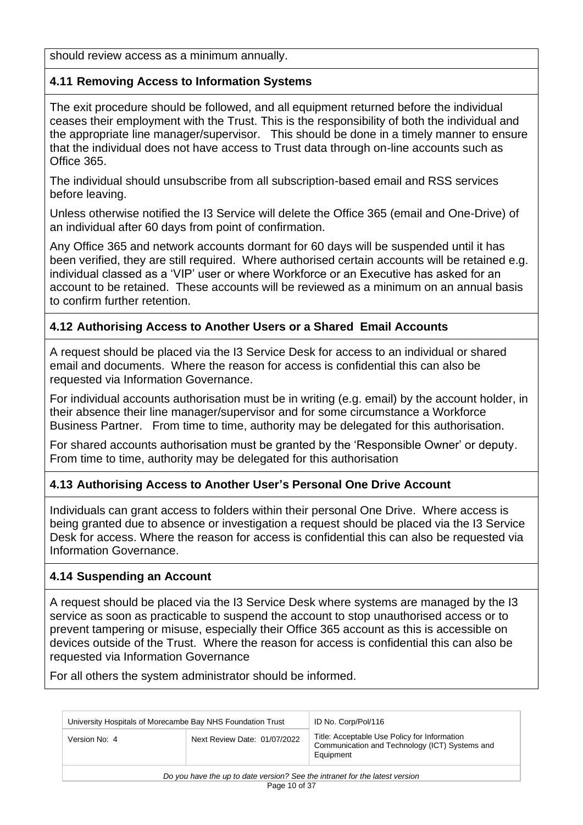should review access as a minimum annually.

#### <span id="page-9-0"></span>**4.11 Removing Access to Information Systems**

The exit procedure should be followed, and all equipment returned before the individual ceases their employment with the Trust. This is the responsibility of both the individual and the appropriate line manager/supervisor. This should be done in a timely manner to ensure that the individual does not have access to Trust data through on-line accounts such as Office 365.

The individual should unsubscribe from all subscription-based email and RSS services before leaving.

Unless otherwise notified the I3 Service will delete the Office 365 (email and One-Drive) of an individual after 60 days from point of confirmation.

Any Office 365 and network accounts dormant for 60 days will be suspended until it has been verified, they are still required. Where authorised certain accounts will be retained e.g. individual classed as a 'VIP' user or where Workforce or an Executive has asked for an account to be retained. These accounts will be reviewed as a minimum on an annual basis to confirm further retention.

#### <span id="page-9-1"></span>**4.12 Authorising Access to Another Users or a Shared Email Accounts**

A request should be placed via the I3 Service Desk for access to an individual or shared email and documents. Where the reason for access is confidential this can also be requested via Information Governance.

For individual accounts authorisation must be in writing (e.g. email) by the account holder, in their absence their line manager/supervisor and for some circumstance a Workforce Business Partner. From time to time, authority may be delegated for this authorisation.

For shared accounts authorisation must be granted by the 'Responsible Owner' or deputy. From time to time, authority may be delegated for this authorisation

#### <span id="page-9-2"></span>**4.13 Authorising Access to Another User's Personal One Drive Account**

Individuals can grant access to folders within their personal One Drive. Where access is being granted due to absence or investigation a request should be placed via the I3 Service Desk for access. Where the reason for access is confidential this can also be requested via Information Governance.

#### <span id="page-9-3"></span>**4.14 Suspending an Account**

A request should be placed via the I3 Service Desk where systems are managed by the I3 service as soon as practicable to suspend the account to stop unauthorised access or to prevent tampering or misuse, especially their Office 365 account as this is accessible on devices outside of the Trust. Where the reason for access is confidential this can also be requested via Information Governance

For all others the system administrator should be informed.

| University Hospitals of Morecambe Bay NHS Foundation Trust                                   |                                                                                                                                             | ID No. Corp/Pol/116 |
|----------------------------------------------------------------------------------------------|---------------------------------------------------------------------------------------------------------------------------------------------|---------------------|
| Version No: 4                                                                                | Title: Acceptable Use Policy for Information<br>Next Review Date: 01/07/2022<br>Communication and Technology (ICT) Systems and<br>Equipment |                     |
| Do you have the up to date version? See the intranet for the latest version<br>Page 10 of 37 |                                                                                                                                             |                     |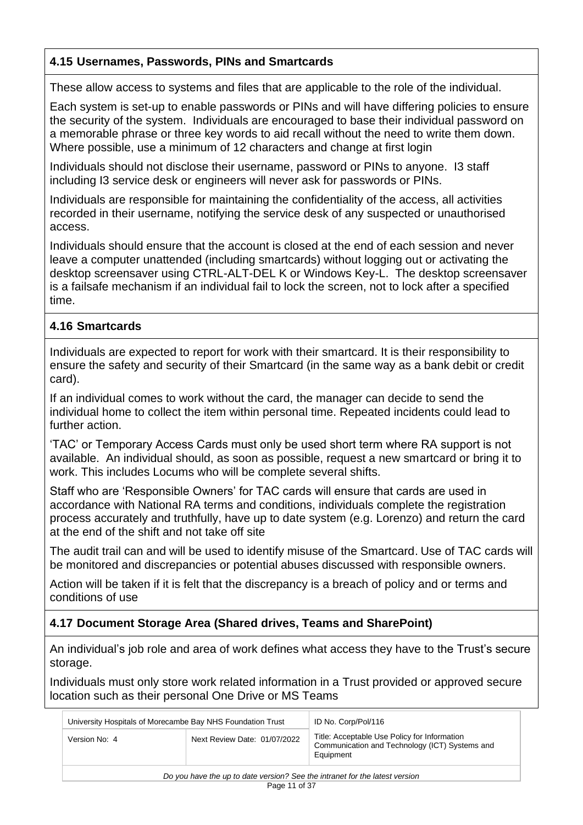#### <span id="page-10-0"></span>**4.15 Usernames, Passwords, PINs and Smartcards**

These allow access to systems and files that are applicable to the role of the individual.

Each system is set-up to enable passwords or PINs and will have differing policies to ensure the security of the system. Individuals are encouraged to base their individual password on a memorable phrase or three key words to aid recall without the need to write them down. Where possible, use a minimum of 12 characters and change at first login

Individuals should not disclose their username, password or PINs to anyone. I3 staff including I3 service desk or engineers will never ask for passwords or PINs.

Individuals are responsible for maintaining the confidentiality of the access, all activities recorded in their username, notifying the service desk of any suspected or unauthorised access.

Individuals should ensure that the account is closed at the end of each session and never leave a computer unattended (including smartcards) without logging out or activating the desktop screensaver using CTRL-ALT-DEL K or Windows Key-L. The desktop screensaver is a failsafe mechanism if an individual fail to lock the screen, not to lock after a specified time.

### <span id="page-10-1"></span>**4.16 Smartcards**

Individuals are expected to report for work with their smartcard. It is their responsibility to ensure the safety and security of their Smartcard (in the same way as a bank debit or credit card).

If an individual comes to work without the card, the manager can decide to send the individual home to collect the item within personal time. Repeated incidents could lead to further action.

'TAC' or Temporary Access Cards must only be used short term where RA support is not available. An individual should, as soon as possible, request a new smartcard or bring it to work. This includes Locums who will be complete several shifts.

Staff who are 'Responsible Owners' for TAC cards will ensure that cards are used in accordance with National RA terms and conditions, individuals complete the registration process accurately and truthfully, have up to date system (e.g. Lorenzo) and return the card at the end of the shift and not take off site

The audit trail can and will be used to identify misuse of the Smartcard. Use of TAC cards will be monitored and discrepancies or potential abuses discussed with responsible owners.

Action will be taken if it is felt that the discrepancy is a breach of policy and or terms and conditions of use

## <span id="page-10-2"></span>**4.17 Document Storage Area (Shared drives, Teams and SharePoint)**

An individual's job role and area of work defines what access they have to the Trust's secure storage.

Individuals must only store work related information in a Trust provided or approved secure location such as their personal One Drive or MS Teams

| University Hospitals of Morecambe Bay NHS Foundation Trust                  |  | ID No. Corp/Pol/116                                                                                         |  |
|-----------------------------------------------------------------------------|--|-------------------------------------------------------------------------------------------------------------|--|
| Next Review Date: 01/07/2022<br>Version No: 4                               |  | Title: Acceptable Use Policy for Information<br>Communication and Technology (ICT) Systems and<br>Equipment |  |
| Do you have the up to date version? See the intranet for the latest version |  |                                                                                                             |  |
| Page 11 of 37                                                               |  |                                                                                                             |  |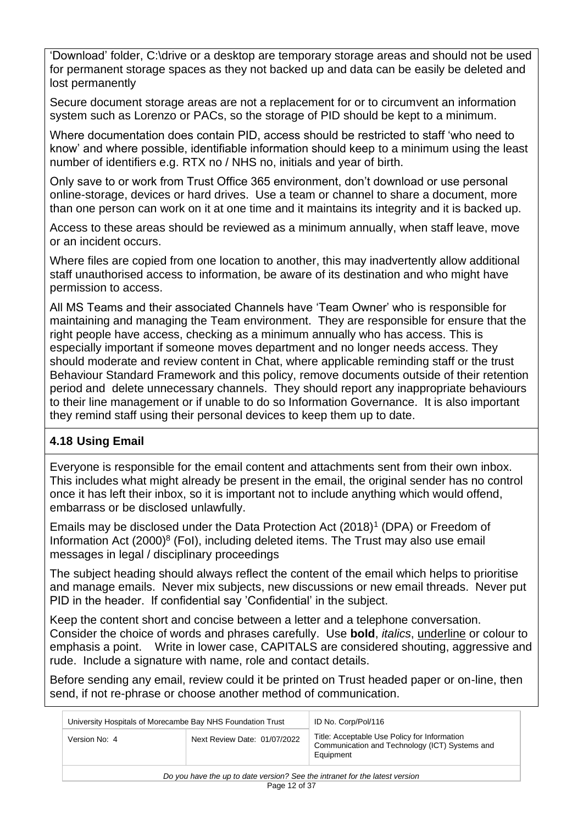'Download' folder, C:\drive or a desktop are temporary storage areas and should not be used for permanent storage spaces as they not backed up and data can be easily be deleted and lost permanently

Secure document storage areas are not a replacement for or to circumvent an information system such as Lorenzo or PACs, so the storage of PID should be kept to a minimum.

Where documentation does contain PID, access should be restricted to staff 'who need to know' and where possible, identifiable information should keep to a minimum using the least number of identifiers e.g. RTX no / NHS no, initials and year of birth.

Only save to or work from Trust Office 365 environment, don't download or use personal online-storage, devices or hard drives. Use a team or channel to share a document, more than one person can work on it at one time and it maintains its integrity and it is backed up.

Access to these areas should be reviewed as a minimum annually, when staff leave, move or an incident occurs.

Where files are copied from one location to another, this may inadvertently allow additional staff unauthorised access to information, be aware of its destination and who might have permission to access.

All MS Teams and their associated Channels have 'Team Owner' who is responsible for maintaining and managing the Team environment. They are responsible for ensure that the right people have access, checking as a minimum annually who has access. This is especially important if someone moves department and no longer needs access. They should moderate and review content in Chat, where applicable reminding staff or the trust Behaviour Standard Framework and this policy, remove documents outside of their retention period and delete unnecessary channels. They should report any inappropriate behaviours to their line management or if unable to do so Information Governance. It is also important they remind staff using their personal devices to keep them up to date.

## <span id="page-11-0"></span>**4.18 Using Email**

Everyone is responsible for the email content and attachments sent from their own inbox. This includes what might already be present in the email, the original sender has no control once it has left their inbox, so it is important not to include anything which would offend, embarrass or be disclosed unlawfully.

Emails may be disclosed under the Data Protection Act (2018)<sup>1</sup> (DPA) or Freedom of Information Act (2000)<sup>8</sup> (FoI), including deleted items. The Trust may also use email messages in legal / disciplinary proceedings

The subject heading should always reflect the content of the email which helps to prioritise and manage emails. Never mix subjects, new discussions or new email threads. Never put PID in the header. If confidential say 'Confidential' in the subject.

Keep the content short and concise between a letter and a telephone conversation. Consider the choice of words and phrases carefully. Use **bold**, *italics*, underline or colour to emphasis a point. Write in lower case, CAPITALS are considered shouting, aggressive and rude. Include a signature with name, role and contact details.

Before sending any email, review could it be printed on Trust headed paper or on-line, then send, if not re-phrase or choose another method of communication.

| University Hospitals of Morecambe Bay NHS Foundation Trust                                   |                                                                                                                                             | ID No. Corp/Pol/116 |
|----------------------------------------------------------------------------------------------|---------------------------------------------------------------------------------------------------------------------------------------------|---------------------|
| Version No: 4                                                                                | Title: Acceptable Use Policy for Information<br>Next Review Date: 01/07/2022<br>Communication and Technology (ICT) Systems and<br>Equipment |                     |
| Do you have the up to date version? See the intranet for the latest version<br>Page 12 of 37 |                                                                                                                                             |                     |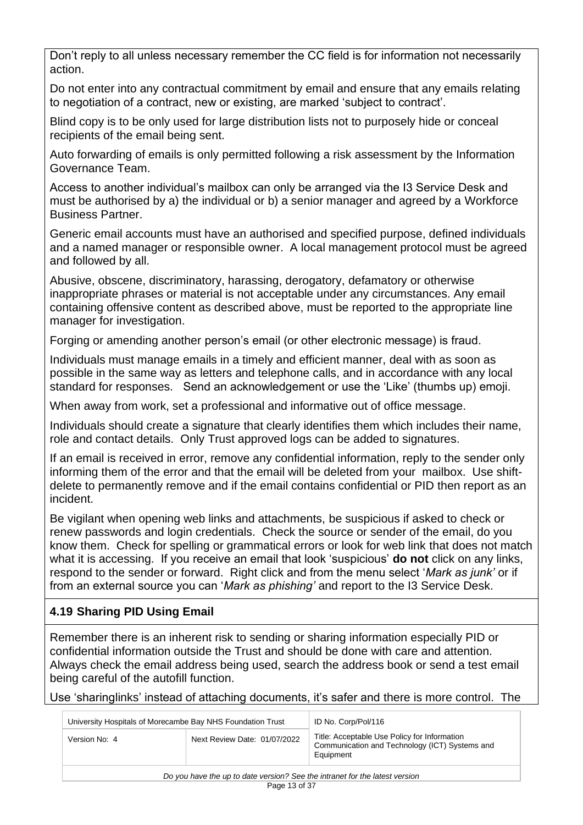Don't reply to all unless necessary remember the CC field is for information not necessarily action.

Do not enter into any contractual commitment by email and ensure that any emails relating to negotiation of a contract, new or existing, are marked 'subject to contract'.

Blind copy is to be only used for large distribution lists not to purposely hide or conceal recipients of the email being sent.

Auto forwarding of emails is only permitted following a risk assessment by the Information Governance Team.

Access to another individual's mailbox can only be arranged via the I3 Service Desk and must be authorised by a) the individual or b) a senior manager and agreed by a Workforce Business Partner.

Generic email accounts must have an authorised and specified purpose, defined individuals and a named manager or responsible owner. A local management protocol must be agreed and followed by all.

Abusive, obscene, discriminatory, harassing, derogatory, defamatory or otherwise inappropriate phrases or material is not acceptable under any circumstances. Any email containing offensive content as described above, must be reported to the appropriate line manager for investigation.

Forging or amending another person's email (or other electronic message) is fraud.

Individuals must manage emails in a timely and efficient manner, deal with as soon as possible in the same way as letters and telephone calls, and in accordance with any local standard for responses. Send an acknowledgement or use the 'Like' (thumbs up) emoji.

When away from work, set a professional and informative out of office message.

Individuals should create a signature that clearly identifies them which includes their name, role and contact details. Only Trust approved logs can be added to signatures.

If an email is received in error, remove any confidential information, reply to the sender only informing them of the error and that the email will be deleted from your mailbox. Use shiftdelete to permanently remove and if the email contains confidential or PID then report as an incident.

Be vigilant when opening web links and attachments, be suspicious if asked to check or renew passwords and login credentials. Check the source or sender of the email, do you know them. Check for spelling or grammatical errors or look for web link that does not match what it is accessing. If you receive an email that look 'suspicious' **do not** click on any links, respond to the sender or forward. Right click and from the menu select '*Mark as junk'* or if from an external source you can '*Mark as phishing'* and report to the I3 Service Desk.

## <span id="page-12-0"></span>**4.19 Sharing PID Using Email**

Remember there is an inherent risk to sending or sharing information especially PID or confidential information outside the Trust and should be done with care and attention. Always check the email address being used, search the address book or send a test email being careful of the autofill function.

Use 'sharinglinks' instead of attaching documents, it's safer and there is more control. The

| University Hospitals of Morecambe Bay NHS Foundation Trust<br>Next Review Date: 01/07/2022<br>Version No: 4 |  | ID No. Corp/Pol/116<br>Title: Acceptable Use Policy for Information<br>Communication and Technology (ICT) Systems and<br>Equipment |
|-------------------------------------------------------------------------------------------------------------|--|------------------------------------------------------------------------------------------------------------------------------------|
|                                                                                                             |  |                                                                                                                                    |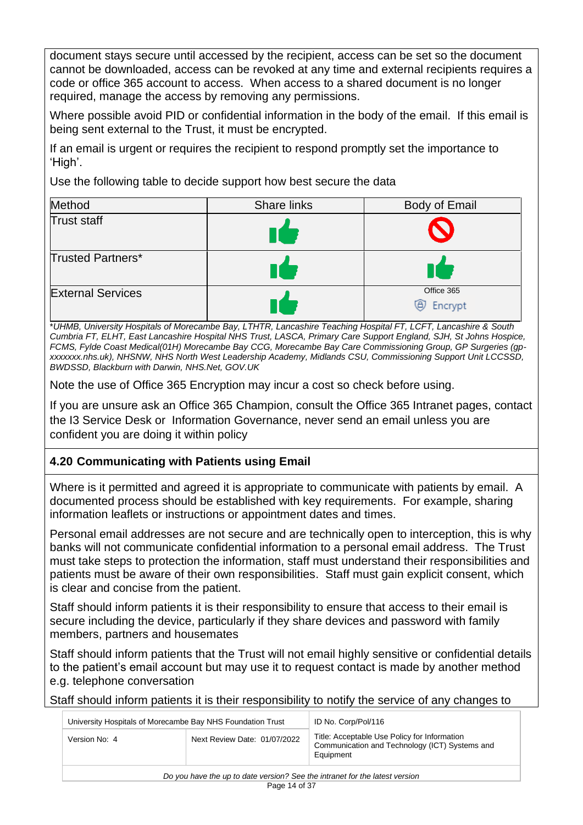document stays secure until accessed by the recipient, access can be set so the document cannot be downloaded, access can be revoked at any time and external recipients requires a code or office 365 account to access. When access to a shared document is no longer required, manage the access by removing any permissions.

Where possible avoid PID or confidential information in the body of the email. If this email is being sent external to the Trust, it must be encrypted.

If an email is urgent or requires the recipient to respond promptly set the importance to 'High'.

Use the following table to decide support how best secure the data

| <b>Method</b>            | Share links | Body of Email              |
|--------------------------|-------------|----------------------------|
| <b>Trust staff</b>       |             |                            |
| <b>Trusted Partners*</b> |             |                            |
| <b>External Services</b> |             | Office 365<br>Encrypt<br>⋒ |

\**UHMB, University Hospitals of Morecambe Bay, LTHTR, Lancashire Teaching Hospital FT, LCFT, Lancashire & South Cumbria FT, ELHT, East Lancashire Hospital NHS Trust, LASCA, Primary Care Support England, SJH, St Johns Hospice, FCMS, Fylde Coast Medical(01H) Morecambe Bay CCG, Morecambe Bay Care Commissioning Group, GP Surgeries (gpxxxxxxx.nhs.uk), NHSNW, NHS North West Leadership Academy, Midlands CSU, Commissioning Support Unit LCCSSD, BWDSSD, Blackburn with Darwin, NHS.Net, GOV.UK*

Note the use of Office 365 Encryption may incur a cost so check before using.

If you are unsure ask an Office 365 Champion, consult the Office 365 Intranet pages, contact the I3 Service Desk or Information Governance, never send an email unless you are confident you are doing it within policy

## <span id="page-13-0"></span>**4.20 Communicating with Patients using Email**

Where is it permitted and agreed it is appropriate to communicate with patients by email. A documented process should be established with key requirements. For example, sharing information leaflets or instructions or appointment dates and times.

Personal email addresses are not secure and are technically open to interception, this is why banks will not communicate confidential information to a personal email address. The Trust must take steps to protection the information, staff must understand their responsibilities and patients must be aware of their own responsibilities. Staff must gain explicit consent, which is clear and concise from the patient.

Staff should inform patients it is their responsibility to ensure that access to their email is secure including the device, particularly if they share devices and password with family members, partners and housemates

Staff should inform patients that the Trust will not email highly sensitive or confidential details to the patient's email account but may use it to request contact is made by another method e.g. telephone conversation

Staff should inform patients it is their responsibility to notify the service of any changes to

| University Hospitals of Morecambe Bay NHS Foundation Trust |                                                                             |  | ID No. Corp/Pol/116<br>Title: Acceptable Use Policy for Information<br>Communication and Technology (ICT) Systems and<br>Equipment |
|------------------------------------------------------------|-----------------------------------------------------------------------------|--|------------------------------------------------------------------------------------------------------------------------------------|
|                                                            | Next Review Date: 01/07/2022<br>Version No: 4                               |  |                                                                                                                                    |
|                                                            | Do you have the up to date version? See the intranet for the latest version |  |                                                                                                                                    |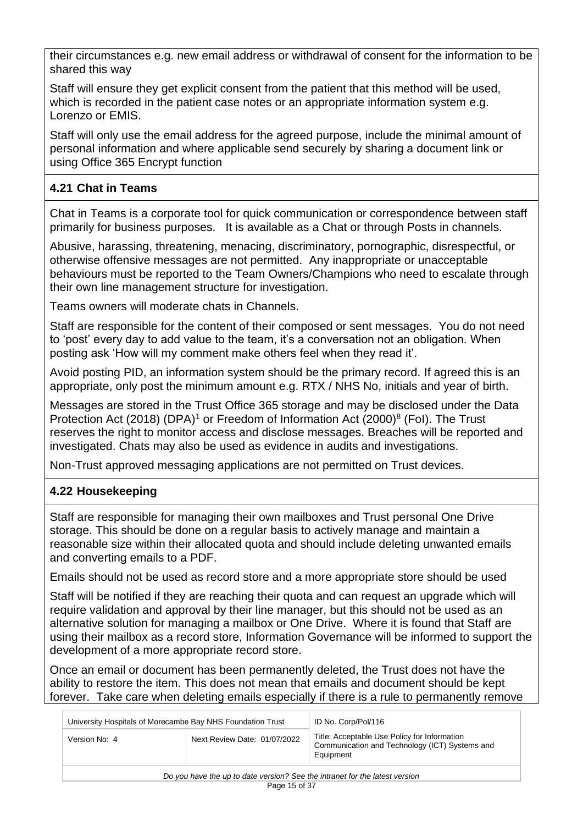their circumstances e.g. new email address or withdrawal of consent for the information to be shared this way

Staff will ensure they get explicit consent from the patient that this method will be used, which is recorded in the patient case notes or an appropriate information system e.g. Lorenzo or EMIS.

Staff will only use the email address for the agreed purpose, include the minimal amount of personal information and where applicable send securely by sharing a document link or using Office 365 Encrypt function

## <span id="page-14-0"></span>**4.21 Chat in Teams**

Chat in Teams is a corporate tool for quick communication or correspondence between staff primarily for business purposes. It is available as a Chat or through Posts in channels.

Abusive, harassing, threatening, menacing, discriminatory, pornographic, disrespectful, or otherwise offensive messages are not permitted. Any inappropriate or unacceptable behaviours must be reported to the Team Owners/Champions who need to escalate through their own line management structure for investigation.

Teams owners will moderate chats in Channels.

Staff are responsible for the content of their composed or sent messages. You do not need to 'post' every day to add value to the team, it's a conversation not an obligation. When posting ask 'How will my comment make others feel when they read it'.

Avoid posting PID, an information system should be the primary record. If agreed this is an appropriate, only post the minimum amount e.g. RTX / NHS No, initials and year of birth.

Messages are stored in the Trust Office 365 storage and may be disclosed under the Data Protection Act (2018) (DPA)<sup>1</sup> or Freedom of Information Act (2000)<sup>8</sup> (Fol). The Trust reserves the right to monitor access and disclose messages. Breaches will be reported and investigated. Chats may also be used as evidence in audits and investigations.

Non-Trust approved messaging applications are not permitted on Trust devices.

## <span id="page-14-1"></span>**4.22 Housekeeping**

Staff are responsible for managing their own mailboxes and Trust personal One Drive storage. This should be done on a regular basis to actively manage and maintain a reasonable size within their allocated quota and should include deleting unwanted emails and converting emails to a PDF.

Emails should not be used as record store and a more appropriate store should be used

Staff will be notified if they are reaching their quota and can request an upgrade which will require validation and approval by their line manager, but this should not be used as an alternative solution for managing a mailbox or One Drive. Where it is found that Staff are using their mailbox as a record store, Information Governance will be informed to support the development of a more appropriate record store.

Once an email or document has been permanently deleted, the Trust does not have the ability to restore the item. This does not mean that emails and document should be kept forever. Take care when deleting emails especially if there is a rule to permanently remove

| University Hospitals of Morecambe Bay NHS Foundation Trust                  |                              | ID No. Corp/Pol/116                                                                                         |
|-----------------------------------------------------------------------------|------------------------------|-------------------------------------------------------------------------------------------------------------|
| Version No: 4                                                               | Next Review Date: 01/07/2022 | Title: Acceptable Use Policy for Information<br>Communication and Technology (ICT) Systems and<br>Equipment |
| Do you have the up to date version? See the intranet for the latest version |                              |                                                                                                             |
| Page 15 of 37                                                               |                              |                                                                                                             |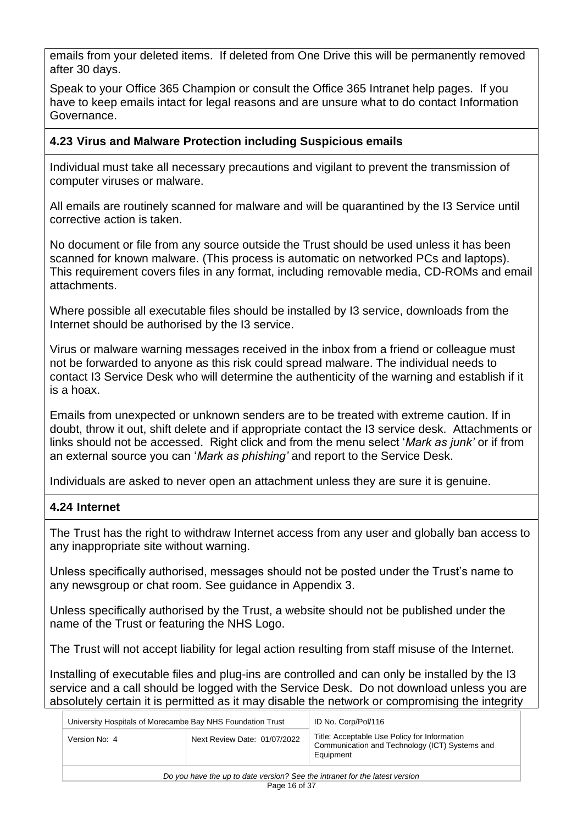emails from your deleted items. If deleted from One Drive this will be permanently removed after 30 days.

Speak to your Office 365 Champion or consult the Office 365 Intranet help pages. If you have to keep emails intact for legal reasons and are unsure what to do contact Information Governance.

#### <span id="page-15-0"></span>**4.23 Virus and Malware Protection including Suspicious emails**

Individual must take all necessary precautions and vigilant to prevent the transmission of computer viruses or malware.

All emails are routinely scanned for malware and will be quarantined by the I3 Service until corrective action is taken.

No document or file from any source outside the Trust should be used unless it has been scanned for known malware. (This process is automatic on networked PCs and laptops). This requirement covers files in any format, including removable media, CD-ROMs and email attachments.

Where possible all executable files should be installed by I3 service, downloads from the Internet should be authorised by the I3 service.

Virus or malware warning messages received in the inbox from a friend or colleague must not be forwarded to anyone as this risk could spread malware. The individual needs to contact I3 Service Desk who will determine the authenticity of the warning and establish if it is a hoax.

Emails from unexpected or unknown senders are to be treated with extreme caution. If in doubt, throw it out, shift delete and if appropriate contact the I3 service desk. Attachments or links should not be accessed. Right click and from the menu select '*Mark as junk'* or if from an external source you can '*Mark as phishing'* and report to the Service Desk.

Individuals are asked to never open an attachment unless they are sure it is genuine.

#### <span id="page-15-1"></span>**4.24 Internet**

The Trust has the right to withdraw Internet access from any user and globally ban access to any inappropriate site without warning.

Unless specifically authorised, messages should not be posted under the Trust's name to any newsgroup or chat room. See guidance in Appendix 3.

Unless specifically authorised by the Trust, a website should not be published under the name of the Trust or featuring the NHS Logo.

The Trust will not accept liability for legal action resulting from staff misuse of the Internet.

Installing of executable files and plug-ins are controlled and can only be installed by the I3 service and a call should be logged with the Service Desk. Do not download unless you are absolutely certain it is permitted as it may disable the network or compromising the integrity

| University Hospitals of Morecambe Bay NHS Foundation Trust                  |  | ID No. Corp/Pol/116                                                                                         |
|-----------------------------------------------------------------------------|--|-------------------------------------------------------------------------------------------------------------|
| Next Review Date: 01/07/2022<br>Version No: 4                               |  | Title: Acceptable Use Policy for Information<br>Communication and Technology (ICT) Systems and<br>Equipment |
| Do you have the up to date version? See the intranet for the latest version |  |                                                                                                             |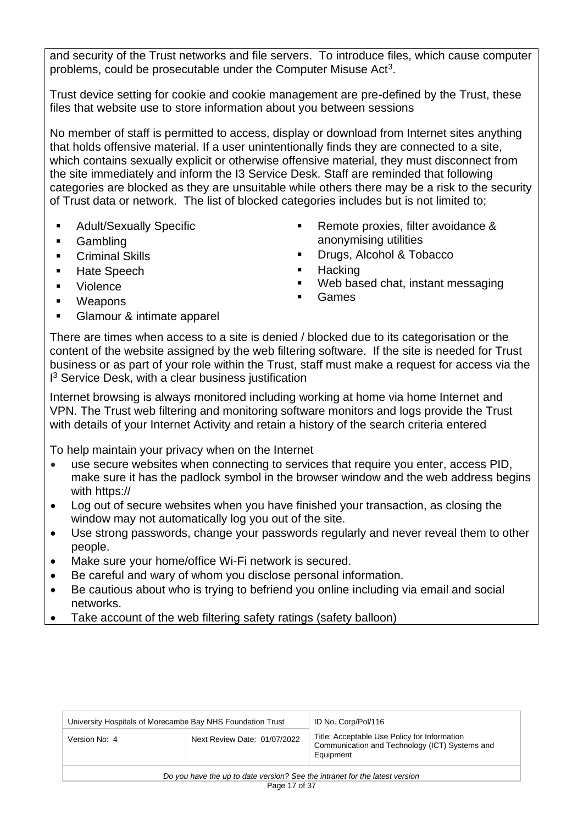and security of the Trust networks and file servers. To introduce files, which cause computer problems, could be prosecutable under the Computer Misuse Act<sup>3</sup>.

Trust device setting for cookie and cookie management are pre-defined by the Trust, these files that website use to store information about you between sessions

No member of staff is permitted to access, display or download from Internet sites anything that holds offensive material. If a user unintentionally finds they are connected to a site, which contains sexually explicit or otherwise offensive material, they must disconnect from the site immediately and inform the I3 Service Desk. Staff are reminded that following categories are blocked as they are unsuitable while others there may be a risk to the security of Trust data or network. The list of blocked categories includes but is not limited to;

- Adult/Sexually Specific
- Gambling
- **•** Criminal Skills
- Hate Speech
- **Violence**
- Weapons
- Glamour & intimate apparel
- Remote proxies, filter avoidance & anonymising utilities
- Drugs, Alcohol & Tobacco
- **Hacking**
- Web based chat, instant messaging
- **Games**

There are times when access to a site is denied / blocked due to its categorisation or the content of the website assigned by the web filtering software. If the site is needed for Trust business or as part of your role within the Trust, staff must make a request for access via the I <sup>3</sup> Service Desk, with a clear business justification

Internet browsing is always monitored including working at home via home Internet and VPN. The Trust web filtering and monitoring software monitors and logs provide the Trust with details of your Internet Activity and retain a history of the search criteria entered

To help maintain your privacy when on the Internet

- use secure websites when connecting to services that require you enter, access PID, make sure it has the padlock symbol in the browser window and the web address begins with https://
- Log out of secure websites when you have finished your transaction, as closing the window may not automatically log you out of the site.
- Use strong passwords, change your passwords regularly and never reveal them to other people.
- Make sure your home/office Wi-Fi network is secured.
- Be careful and wary of whom you disclose personal information.
- Be cautious about who is trying to befriend you online including via email and social networks.
- Take account of the web filtering safety ratings (safety balloon)

| University Hospitals of Morecambe Bay NHS Foundation Trust                  |                              | ID No. Corp/Pol/116                                                                                         |  |
|-----------------------------------------------------------------------------|------------------------------|-------------------------------------------------------------------------------------------------------------|--|
| Version No: 4                                                               | Next Review Date: 01/07/2022 | Title: Acceptable Use Policy for Information<br>Communication and Technology (ICT) Systems and<br>Equipment |  |
| Do you have the up to date version? See the intranet for the latest version |                              |                                                                                                             |  |
|                                                                             | Page 17 of 37                |                                                                                                             |  |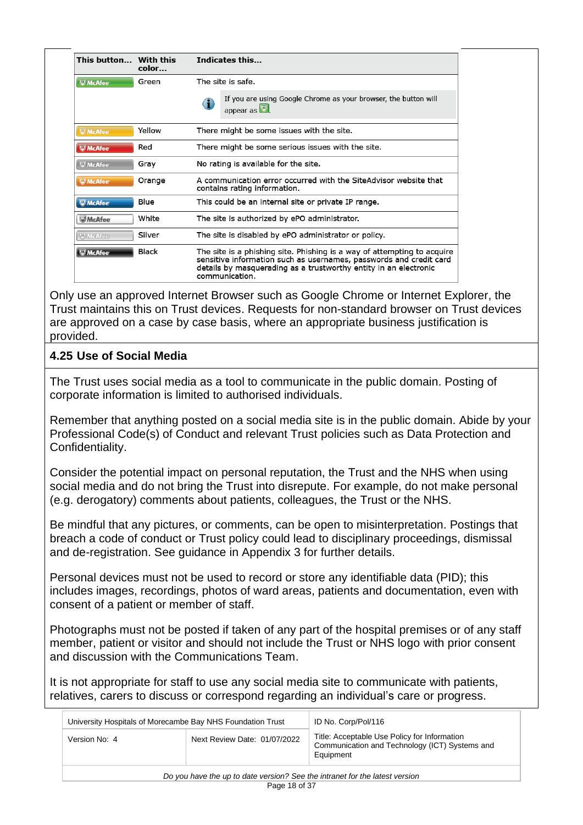|              | Indicates this                                                                                                                                                                                                                      |  |
|--------------|-------------------------------------------------------------------------------------------------------------------------------------------------------------------------------------------------------------------------------------|--|
| Green        | The site is safe.                                                                                                                                                                                                                   |  |
|              | If you are using Google Chrome as your browser, the button will<br>O<br>appear as                                                                                                                                                   |  |
| Yellow       | There might be some issues with the site.                                                                                                                                                                                           |  |
| Red          | There might be some serious issues with the site.                                                                                                                                                                                   |  |
| Gray         | No rating is available for the site.                                                                                                                                                                                                |  |
| Orange       | A communication error occurred with the SiteAdvisor website that<br>contains rating information.                                                                                                                                    |  |
| Blue         | This could be an internal site or private IP range.                                                                                                                                                                                 |  |
| White        | The site is authorized by ePO administrator.                                                                                                                                                                                        |  |
| Silver       | The site is disabled by ePO administrator or policy.                                                                                                                                                                                |  |
| <b>Black</b> | The site is a phishing site. Phishing is a way of attempting to acquire<br>sensitive information such as usernames, passwords and credit card<br>details by masquerading as a trustworthy entity in an electronic<br>communication. |  |
|              |                                                                                                                                                                                                                                     |  |

Only use an approved Internet Browser such as Google Chrome or Internet Explorer, the Trust maintains this on Trust devices. Requests for non-standard browser on Trust devices are approved on a case by case basis, where an appropriate business justification is provided.

#### <span id="page-17-0"></span>**4.25 Use of Social Media**

The Trust uses social media as a tool to communicate in the public domain. Posting of corporate information is limited to authorised individuals.

Remember that anything posted on a social media site is in the public domain. Abide by your Professional Code(s) of Conduct and relevant Trust policies such as Data Protection and Confidentiality.

Consider the potential impact on personal reputation, the Trust and the NHS when using social media and do not bring the Trust into disrepute. For example, do not make personal (e.g. derogatory) comments about patients, colleagues, the Trust or the NHS.

Be mindful that any pictures, or comments, can be open to misinterpretation. Postings that breach a code of conduct or Trust policy could lead to disciplinary proceedings, dismissal and de-registration. See guidance in Appendix 3 for further details.

Personal devices must not be used to record or store any identifiable data (PID); this includes images, recordings, photos of ward areas, patients and documentation, even with consent of a patient or member of staff.

Photographs must not be posted if taken of any part of the hospital premises or of any staff member, patient or visitor and should not include the Trust or NHS logo with prior consent and discussion with the Communications Team.

It is not appropriate for staff to use any social media site to communicate with patients, relatives, carers to discuss or correspond regarding an individual's care or progress.

| University Hospitals of Morecambe Bay NHS Foundation Trust                                   |               |                              | ID No. Corp/Pol/116                                                                                         |
|----------------------------------------------------------------------------------------------|---------------|------------------------------|-------------------------------------------------------------------------------------------------------------|
|                                                                                              | Version No: 4 | Next Review Date: 01/07/2022 | Title: Acceptable Use Policy for Information<br>Communication and Technology (ICT) Systems and<br>Equipment |
| Do you have the up to date version? See the intranet for the latest version<br>Page 18 of 37 |               |                              |                                                                                                             |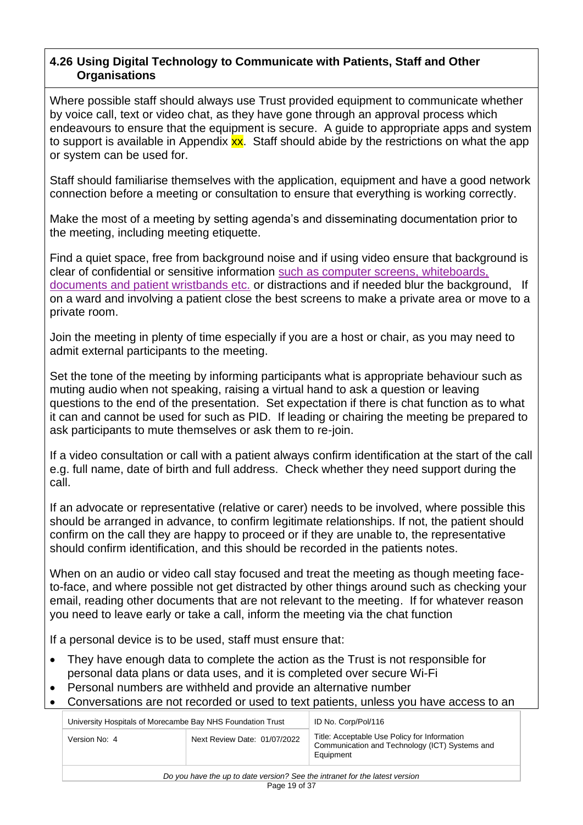### <span id="page-18-0"></span>**4.26 Using Digital Technology to Communicate with Patients, Staff and Other Organisations**

Where possible staff should always use Trust provided equipment to communicate whether by voice call, text or video chat, as they have gone through an approval process which endeavours to ensure that the equipment is secure. A guide to appropriate apps and system to support is available in Appendix  $\frac{xx}{x}$ . Staff should abide by the restrictions on what the app or system can be used for.

Staff should familiarise themselves with the application, equipment and have a good network connection before a meeting or consultation to ensure that everything is working correctly.

Make the most of a meeting by setting agenda's and disseminating documentation prior to the meeting, including meeting etiquette.

Find a quiet space, free from background noise and if using video ensure that background is clear of confidential or sensitive information such as computer screens, whiteboards, documents and patient wristbands etc. or distractions and if needed blur the background, If on a ward and involving a patient close the best screens to make a private area or move to a private room.

Join the meeting in plenty of time especially if you are a host or chair, as you may need to admit external participants to the meeting.

Set the tone of the meeting by informing participants what is appropriate behaviour such as muting audio when not speaking, raising a virtual hand to ask a question or leaving questions to the end of the presentation. Set expectation if there is chat function as to what it can and cannot be used for such as PID. If leading or chairing the meeting be prepared to ask participants to mute themselves or ask them to re-join.

If a video consultation or call with a patient always confirm identification at the start of the call e.g. full name, date of birth and full address. Check whether they need support during the call.

If an advocate or representative (relative or carer) needs to be involved, where possible this should be arranged in advance, to confirm legitimate relationships. If not, the patient should confirm on the call they are happy to proceed or if they are unable to, the representative should confirm identification, and this should be recorded in the patients notes.

When on an audio or video call stay focused and treat the meeting as though meeting faceto-face, and where possible not get distracted by other things around such as checking your email, reading other documents that are not relevant to the meeting. If for whatever reason you need to leave early or take a call, inform the meeting via the chat function

If a personal device is to be used, staff must ensure that:

- They have enough data to complete the action as the Trust is not responsible for personal data plans or data uses, and it is completed over secure Wi-Fi
- Personal numbers are withheld and provide an alternative number
- Conversations are not recorded or used to text patients, unless you have access to an

| University Hospitals of Morecambe Bay NHS Foundation Trust<br>Next Review Date: 01/07/2022<br>Version No: 4 |  |                                                                             | ID No. Corp/Pol/116<br>Title: Acceptable Use Policy for Information<br>Communication and Technology (ICT) Systems and<br>Equipment |
|-------------------------------------------------------------------------------------------------------------|--|-----------------------------------------------------------------------------|------------------------------------------------------------------------------------------------------------------------------------|
|                                                                                                             |  |                                                                             |                                                                                                                                    |
|                                                                                                             |  | Do you have the up to date version? See the intranet for the latest version |                                                                                                                                    |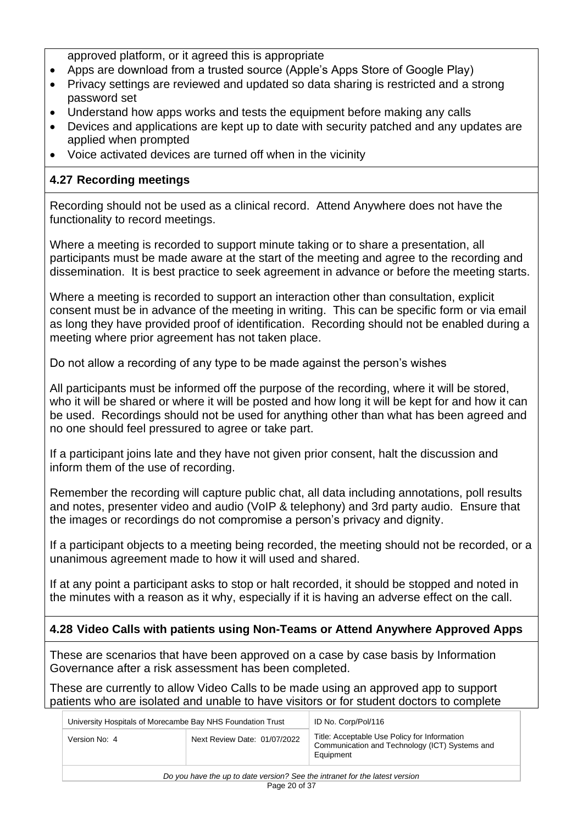approved platform, or it agreed this is appropriate

- Apps are download from a trusted source (Apple's Apps Store of Google Play)
- Privacy settings are reviewed and updated so data sharing is restricted and a strong password set
- Understand how apps works and tests the equipment before making any calls
- Devices and applications are kept up to date with security patched and any updates are applied when prompted
- Voice activated devices are turned off when in the vicinity

#### <span id="page-19-0"></span>**4.27 Recording meetings**

Recording should not be used as a clinical record. Attend Anywhere does not have the functionality to record meetings.

Where a meeting is recorded to support minute taking or to share a presentation, all participants must be made aware at the start of the meeting and agree to the recording and dissemination. It is best practice to seek agreement in advance or before the meeting starts.

Where a meeting is recorded to support an interaction other than consultation, explicit consent must be in advance of the meeting in writing. This can be specific form or via email as long they have provided proof of identification. Recording should not be enabled during a meeting where prior agreement has not taken place.

Do not allow a recording of any type to be made against the person's wishes

All participants must be informed off the purpose of the recording, where it will be stored, who it will be shared or where it will be posted and how long it will be kept for and how it can be used. Recordings should not be used for anything other than what has been agreed and no one should feel pressured to agree or take part.

If a participant joins late and they have not given prior consent, halt the discussion and inform them of the use of recording.

Remember the recording will capture public chat, all data including annotations, poll results and notes, presenter video and audio (VoIP & telephony) and 3rd party audio. Ensure that the images or recordings do not compromise a person's privacy and dignity.

If a participant objects to a meeting being recorded, the meeting should not be recorded, or a unanimous agreement made to how it will used and shared.

If at any point a participant asks to stop or halt recorded, it should be stopped and noted in the minutes with a reason as it why, especially if it is having an adverse effect on the call.

#### <span id="page-19-1"></span>**4.28 Video Calls with patients using Non-Teams or Attend Anywhere Approved Apps**

These are scenarios that have been approved on a case by case basis by Information Governance after a risk assessment has been completed.

These are currently to allow Video Calls to be made using an approved app to support patients who are isolated and unable to have visitors or for student doctors to complete

| University Hospitals of Morecambe Bay NHS Foundation Trust |                                                                             | ID No. Corp/Pol/116                                                                                         |
|------------------------------------------------------------|-----------------------------------------------------------------------------|-------------------------------------------------------------------------------------------------------------|
| Version No: 4                                              | Next Review Date: 01/07/2022                                                | Title: Acceptable Use Policy for Information<br>Communication and Technology (ICT) Systems and<br>Equipment |
|                                                            | Do you have the up to date version? See the intranet for the latest version |                                                                                                             |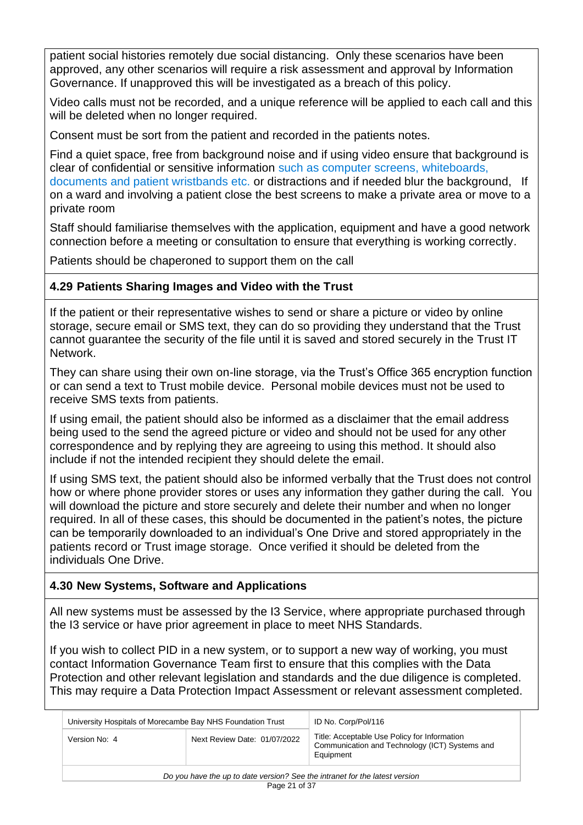patient social histories remotely due social distancing. Only these scenarios have been approved, any other scenarios will require a risk assessment and approval by Information Governance. If unapproved this will be investigated as a breach of this policy.

Video calls must not be recorded, and a unique reference will be applied to each call and this will be deleted when no longer required.

Consent must be sort from the patient and recorded in the patients notes.

Find a quiet space, free from background noise and if using video ensure that background is clear of confidential or sensitive information such as computer screens, whiteboards, documents and patient wristbands etc. or distractions and if needed blur the background, If on a ward and involving a patient close the best screens to make a private area or move to a private room

Staff should familiarise themselves with the application, equipment and have a good network connection before a meeting or consultation to ensure that everything is working correctly.

Patients should be chaperoned to support them on the call

### <span id="page-20-0"></span>**4.29 Patients Sharing Images and Video with the Trust**

If the patient or their representative wishes to send or share a picture or video by online storage, secure email or SMS text, they can do so providing they understand that the Trust cannot guarantee the security of the file until it is saved and stored securely in the Trust IT Network.

They can share using their own on-line storage, via the Trust's Office 365 encryption function or can send a text to Trust mobile device. Personal mobile devices must not be used to receive SMS texts from patients.

If using email, the patient should also be informed as a disclaimer that the email address being used to the send the agreed picture or video and should not be used for any other correspondence and by replying they are agreeing to using this method. It should also include if not the intended recipient they should delete the email.

If using SMS text, the patient should also be informed verbally that the Trust does not control how or where phone provider stores or uses any information they gather during the call. You will download the picture and store securely and delete their number and when no longer required. In all of these cases, this should be documented in the patient's notes, the picture can be temporarily downloaded to an individual's One Drive and stored appropriately in the patients record or Trust image storage. Once verified it should be deleted from the individuals One Drive.

#### <span id="page-20-1"></span>**4.30 New Systems, Software and Applications**

All new systems must be assessed by the I3 Service, where appropriate purchased through the I3 service or have prior agreement in place to meet NHS Standards.

If you wish to collect PID in a new system, or to support a new way of working, you must contact Information Governance Team first to ensure that this complies with the Data Protection and other relevant legislation and standards and the due diligence is completed. This may require a Data Protection Impact Assessment or relevant assessment completed.

| University Hospitals of Morecambe Bay NHS Foundation Trust                  |                              | ID No. Corp/Pol/116                                                                                         |  |
|-----------------------------------------------------------------------------|------------------------------|-------------------------------------------------------------------------------------------------------------|--|
| Version No: 4                                                               | Next Review Date: 01/07/2022 | Title: Acceptable Use Policy for Information<br>Communication and Technology (ICT) Systems and<br>Equipment |  |
| Do you have the up to date version? See the intranet for the latest version |                              |                                                                                                             |  |
|                                                                             | Page 21 of 37                |                                                                                                             |  |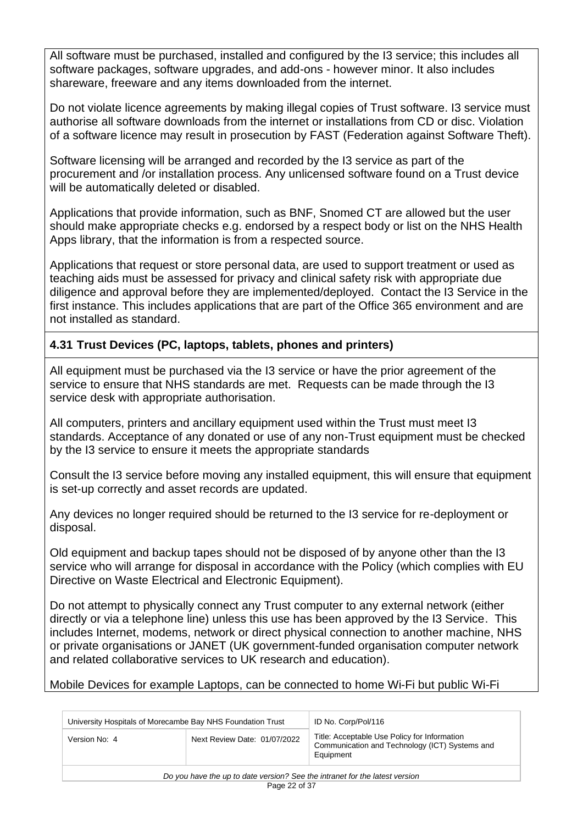All software must be purchased, installed and configured by the I3 service; this includes all software packages, software upgrades, and add-ons - however minor. It also includes shareware, freeware and any items downloaded from the internet.

Do not violate licence agreements by making illegal copies of Trust software. I3 service must authorise all software downloads from the internet or installations from CD or disc. Violation of a software licence may result in prosecution by FAST (Federation against Software Theft).

Software licensing will be arranged and recorded by the I3 service as part of the procurement and /or installation process. Any unlicensed software found on a Trust device will be automatically deleted or disabled.

Applications that provide information, such as BNF, Snomed CT are allowed but the user should make appropriate checks e.g. endorsed by a respect body or list on the NHS Health Apps library, that the information is from a respected source.

Applications that request or store personal data, are used to support treatment or used as teaching aids must be assessed for privacy and clinical safety risk with appropriate due diligence and approval before they are implemented/deployed. Contact the I3 Service in the first instance. This includes applications that are part of the Office 365 environment and are not installed as standard.

### <span id="page-21-0"></span>**4.31 Trust Devices (PC, laptops, tablets, phones and printers)**

All equipment must be purchased via the I3 service or have the prior agreement of the service to ensure that NHS standards are met. Requests can be made through the I3 service desk with appropriate authorisation.

All computers, printers and ancillary equipment used within the Trust must meet I3 standards. Acceptance of any donated or use of any non-Trust equipment must be checked by the I3 service to ensure it meets the appropriate standards

Consult the I3 service before moving any installed equipment, this will ensure that equipment is set-up correctly and asset records are updated.

Any devices no longer required should be returned to the I3 service for re-deployment or disposal.

Old equipment and backup tapes should not be disposed of by anyone other than the I3 service who will arrange for disposal in accordance with the Policy (which complies with EU Directive on Waste Electrical and Electronic Equipment).

Do not attempt to physically connect any Trust computer to any external network (either directly or via a telephone line) unless this use has been approved by the I3 Service. This includes Internet, modems, network or direct physical connection to another machine, NHS or private organisations or JANET (UK government-funded organisation computer network and related collaborative services to UK research and education).

Mobile Devices for example Laptops, can be connected to home Wi-Fi but public Wi-Fi

| University Hospitals of Morecambe Bay NHS Foundation Trust                  |                              | ID No. Corp/Pol/116                                                                                         |
|-----------------------------------------------------------------------------|------------------------------|-------------------------------------------------------------------------------------------------------------|
| Version No: 4                                                               | Next Review Date: 01/07/2022 | Title: Acceptable Use Policy for Information<br>Communication and Technology (ICT) Systems and<br>Equipment |
| Do you have the up to date version? See the intranet for the latest version |                              |                                                                                                             |
| Page 22 of 37                                                               |                              |                                                                                                             |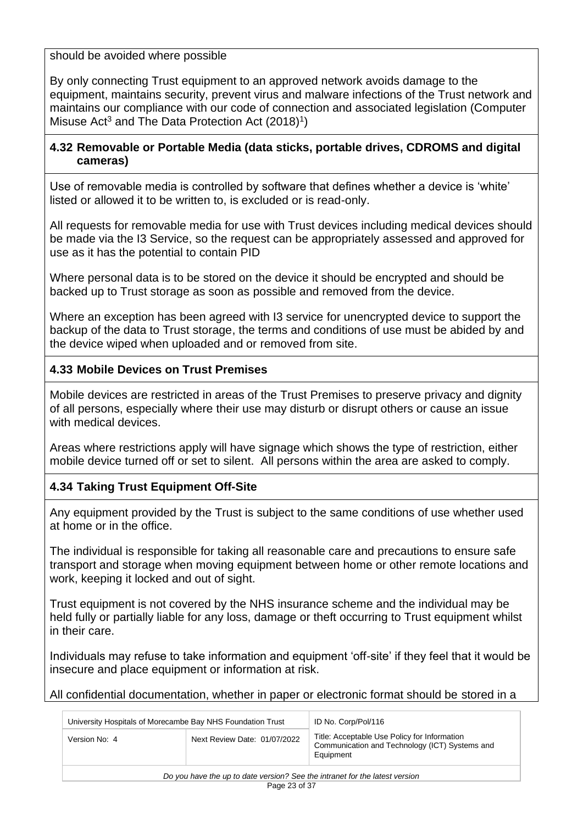should be avoided where possible

By only connecting Trust equipment to an approved network avoids damage to the equipment, maintains security, prevent virus and malware infections of the Trust network and maintains our compliance with our code of connection and associated legislation (Computer Misuse Act<sup>3</sup> and The Data Protection Act  $(2018)^1$ )

#### <span id="page-22-0"></span>**4.32 Removable or Portable Media (data sticks, portable drives, CDROMS and digital cameras)**

Use of removable media is controlled by software that defines whether a device is 'white' listed or allowed it to be written to, is excluded or is read-only.

All requests for removable media for use with Trust devices including medical devices should be made via the I3 Service, so the request can be appropriately assessed and approved for use as it has the potential to contain PID

Where personal data is to be stored on the device it should be encrypted and should be backed up to Trust storage as soon as possible and removed from the device.

Where an exception has been agreed with I3 service for unencrypted device to support the backup of the data to Trust storage, the terms and conditions of use must be abided by and the device wiped when uploaded and or removed from site.

#### <span id="page-22-1"></span>**4.33 Mobile Devices on Trust Premises**

Mobile devices are restricted in areas of the Trust Premises to preserve privacy and dignity of all persons, especially where their use may disturb or disrupt others or cause an issue with medical devices.

Areas where restrictions apply will have signage which shows the type of restriction, either mobile device turned off or set to silent. All persons within the area are asked to comply.

## <span id="page-22-2"></span>**4.34 Taking Trust Equipment Off-Site**

Any equipment provided by the Trust is subject to the same conditions of use whether used at home or in the office.

The individual is responsible for taking all reasonable care and precautions to ensure safe transport and storage when moving equipment between home or other remote locations and work, keeping it locked and out of sight.

Trust equipment is not covered by the NHS insurance scheme and the individual may be held fully or partially liable for any loss, damage or theft occurring to Trust equipment whilst in their care.

Individuals may refuse to take information and equipment 'off-site' if they feel that it would be insecure and place equipment or information at risk.

All confidential documentation, whether in paper or electronic format should be stored in a

| University Hospitals of Morecambe Bay NHS Foundation Trust |                                                                             | ID No. Corp/Pol/116                                                                                         |
|------------------------------------------------------------|-----------------------------------------------------------------------------|-------------------------------------------------------------------------------------------------------------|
| Version No: 4                                              | Next Review Date: 01/07/2022                                                | Title: Acceptable Use Policy for Information<br>Communication and Technology (ICT) Systems and<br>Equipment |
|                                                            | Do you have the up to date version? See the intranet for the latest version |                                                                                                             |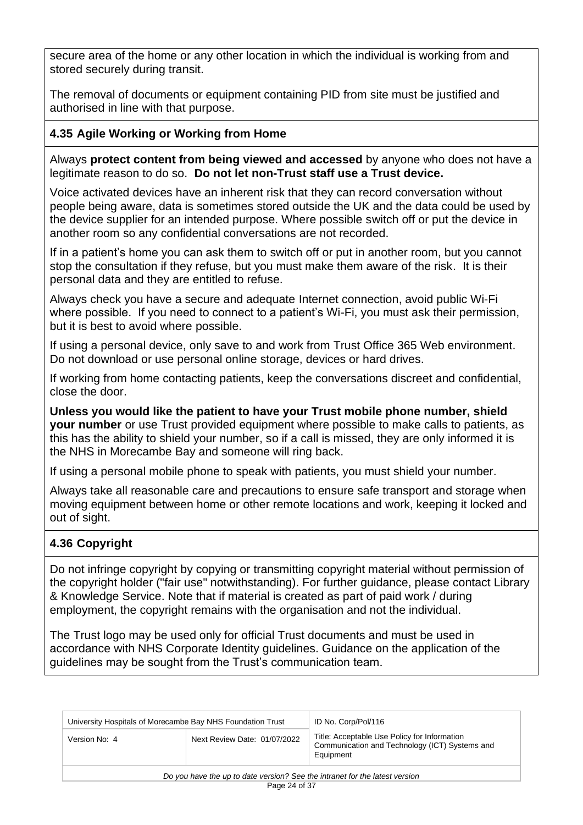secure area of the home or any other location in which the individual is working from and stored securely during transit.

The removal of documents or equipment containing PID from site must be justified and authorised in line with that purpose.

#### <span id="page-23-0"></span>**4.35 Agile Working or Working from Home**

Always **protect content from being viewed and accessed** by anyone who does not have a legitimate reason to do so. **Do not let non-Trust staff use a Trust device.**

Voice activated devices have an inherent risk that they can record conversation without people being aware, data is sometimes stored outside the UK and the data could be used by the device supplier for an intended purpose. Where possible switch off or put the device in another room so any confidential conversations are not recorded.

If in a patient's home you can ask them to switch off or put in another room, but you cannot stop the consultation if they refuse, but you must make them aware of the risk. It is their personal data and they are entitled to refuse.

Always check you have a secure and adequate Internet connection, avoid public Wi-Fi where possible. If you need to connect to a patient's Wi-Fi, you must ask their permission, but it is best to avoid where possible.

If using a personal device, only save to and work from Trust Office 365 Web environment. Do not download or use personal online storage, devices or hard drives.

If working from home contacting patients, keep the conversations discreet and confidential, close the door.

**Unless you would like the patient to have your Trust mobile phone number, shield your number** or use Trust provided equipment where possible to make calls to patients, as this has the ability to shield your number, so if a call is missed, they are only informed it is the NHS in Morecambe Bay and someone will ring back.

If using a personal mobile phone to speak with patients, you must shield your number.

Always take all reasonable care and precautions to ensure safe transport and storage when moving equipment between home or other remote locations and work, keeping it locked and out of sight.

## <span id="page-23-1"></span>**4.36 Copyright**

Do not infringe copyright by copying or transmitting copyright material without permission of the copyright holder ("fair use" notwithstanding). For further guidance, please contact Library & Knowledge Service. Note that if material is created as part of paid work / during employment, the copyright remains with the organisation and not the individual.

The Trust logo may be used only for official Trust documents and must be used in accordance with NHS Corporate Identity guidelines. Guidance on the application of the guidelines may be sought from the Trust's communication team.

| University Hospitals of Morecambe Bay NHS Foundation Trust                                   |                              | ID No. Corp/Pol/116                                                                                         |
|----------------------------------------------------------------------------------------------|------------------------------|-------------------------------------------------------------------------------------------------------------|
| Version No: 4                                                                                | Next Review Date: 01/07/2022 | Title: Acceptable Use Policy for Information<br>Communication and Technology (ICT) Systems and<br>Equipment |
| Do you have the up to date version? See the intranet for the latest version<br>Page 24 of 37 |                              |                                                                                                             |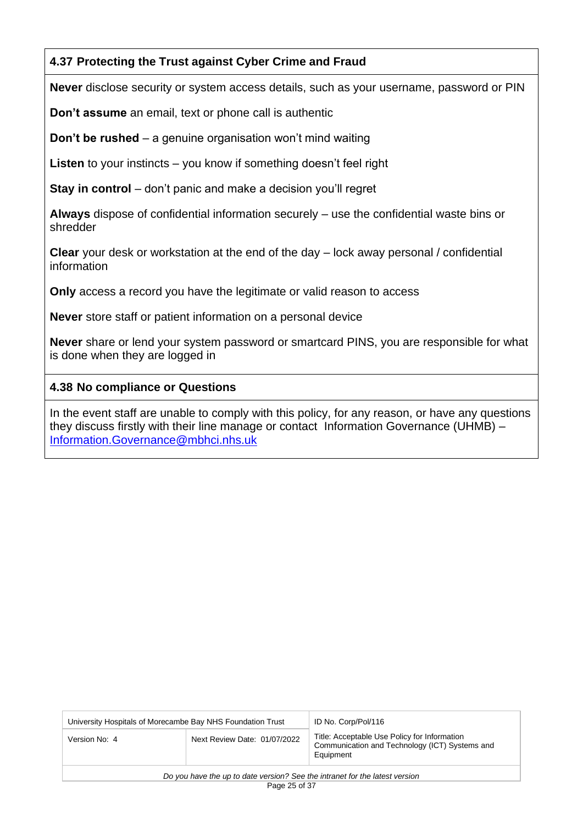#### <span id="page-24-0"></span>**4.37 Protecting the Trust against Cyber Crime and Fraud**

**Never** disclose security or system access details, such as your username, password or PIN

**Don't assume** an email, text or phone call is authentic

**Don't be rushed** – a genuine organisation won't mind waiting

Listen to your instincts – you know if something doesn't feel right

**Stay in control** – don't panic and make a decision you'll regret

**Always** dispose of confidential information securely – use the confidential waste bins or shredder

**Clear** your desk or workstation at the end of the day – lock away personal / confidential information

**Only** access a record you have the legitimate or valid reason to access

**Never** store staff or patient information on a personal device

**Never** share or lend your system password or smartcard PINS, you are responsible for what is done when they are logged in

#### <span id="page-24-1"></span>**4.38 No compliance or Questions**

In the event staff are unable to comply with this policy, for any reason, or have any questions they discuss firstly with their line manage or contact Information Governance (UHMB) – [Information.Governance@mbhci.nhs.uk](mailto:Information.Governance@mbhci.nhs.uk)

| University Hospitals of Morecambe Bay NHS Foundation Trust |                                                                             | ID No. Corp/Pol/116                                                                                         |
|------------------------------------------------------------|-----------------------------------------------------------------------------|-------------------------------------------------------------------------------------------------------------|
| Version No: 4                                              | Next Review Date: 01/07/2022                                                | Title: Acceptable Use Policy for Information<br>Communication and Technology (ICT) Systems and<br>Equipment |
|                                                            | Do you have the up to date version? See the intranet for the latest version |                                                                                                             |
| Page 25 of 37                                              |                                                                             |                                                                                                             |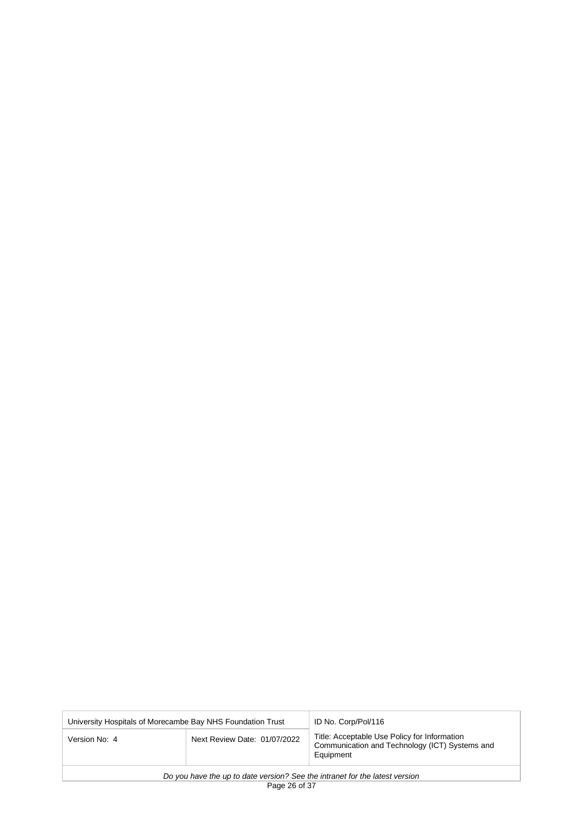| University Hospitals of Morecambe Bay NHS Foundation Trust                  |                              | ID No. Corp/Pol/116                                                                                         |
|-----------------------------------------------------------------------------|------------------------------|-------------------------------------------------------------------------------------------------------------|
| Version No: 4                                                               | Next Review Date: 01/07/2022 | Title: Acceptable Use Policy for Information<br>Communication and Technology (ICT) Systems and<br>Equipment |
| Do you have the up to date version? See the intranet for the latest version |                              |                                                                                                             |
| Page 26 of 37                                                               |                              |                                                                                                             |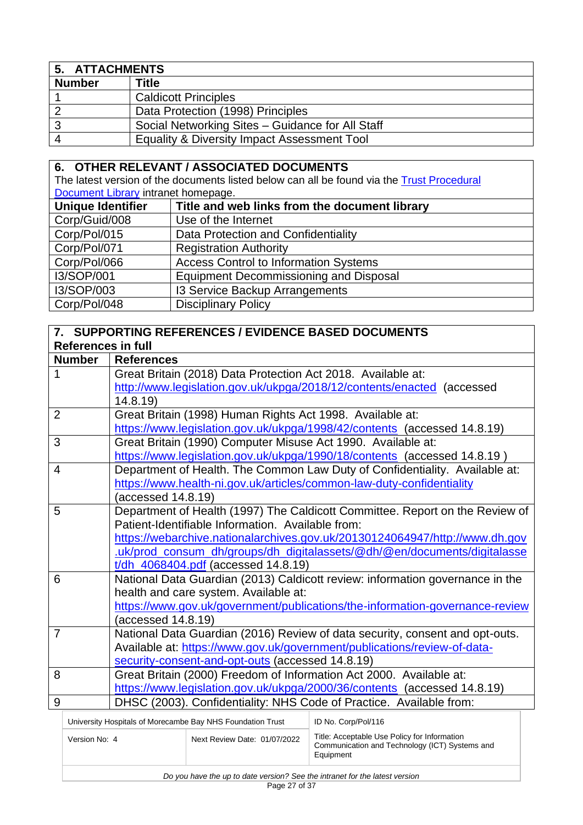<span id="page-26-0"></span>

| 5. ATTACHMENTS |                                                        |  |
|----------------|--------------------------------------------------------|--|
| <b>Number</b>  | Title                                                  |  |
|                | <b>Caldicott Principles</b>                            |  |
|                | Data Protection (1998) Principles                      |  |
| 3              | Social Networking Sites - Guidance for All Staff       |  |
| 4              | <b>Equality &amp; Diversity Impact Assessment Tool</b> |  |

#### <span id="page-26-1"></span>**6. OTHER RELEVANT / ASSOCIATED DOCUMENTS**

The latest version of the documents listed below can all be found via the **Trust Procedural [Document Library](https://nhscanl.sharepoint.com/sites/TrustProceduralDocumentLibrary/) intranet homepage.** 

| <b>Unique Identifier</b> | Title and web links from the document library |
|--------------------------|-----------------------------------------------|
| Corp/Guid/008            | Use of the Internet                           |
| Corp/Pol/015             | Data Protection and Confidentiality           |
| Corp/Pol/071             | <b>Registration Authority</b>                 |
| Corp/Pol/066             | <b>Access Control to Information Systems</b>  |
| I3/SOP/001               | Equipment Decommissioning and Disposal        |
| I3/SOP/003               | 13 Service Backup Arrangements                |
| Corp/Pol/048             | <b>Disciplinary Policy</b>                    |

## <span id="page-26-2"></span>**7. SUPPORTING REFERENCES / EVIDENCE BASED DOCUMENTS References in full Number References**

| 1              | Great Britain (2018) Data Protection Act 2018. Available at:                  |
|----------------|-------------------------------------------------------------------------------|
|                | http://www.legislation.gov.uk/ukpga/2018/12/contents/enacted (accessed        |
|                | 14.8.19                                                                       |
| $\overline{2}$ | Great Britain (1998) Human Rights Act 1998. Available at:                     |
|                | https://www.legislation.gov.uk/ukpga/1998/42/contents (accessed 14.8.19)      |
| 3              | Great Britain (1990) Computer Misuse Act 1990. Available at:                  |
|                | https://www.legislation.gov.uk/ukpga/1990/18/contents (accessed 14.8.19)      |
| $\overline{4}$ | Department of Health. The Common Law Duty of Confidentiality. Available at:   |
|                | https://www.health-ni.gov.uk/articles/common-law-duty-confidentiality         |
|                | (accessed 14.8.19)                                                            |
| 5              | Department of Health (1997) The Caldicott Committee. Report on the Review of  |
|                | Patient-Identifiable Information. Available from:                             |
|                | https://webarchive.nationalarchives.gov.uk/20130124064947/http://www.dh.gov   |
|                | .uk/prod_consum_dh/groups/dh_digitalassets/@dh/@en/documents/digitalasse      |
|                | t/dh_4068404.pdf (accessed 14.8.19)                                           |
| 6              | National Data Guardian (2013) Caldicott review: information governance in the |
|                | health and care system. Available at:                                         |
|                | https://www.gov.uk/government/publications/the-information-governance-review  |
|                | (accessed 14.8.19)                                                            |
| $\overline{7}$ | National Data Guardian (2016) Review of data security, consent and opt-outs.  |
|                | Available at: https://www.gov.uk/government/publications/review-of-data-      |
|                | security-consent-and-opt-outs (accessed 14.8.19)                              |
| 8              | Great Britain (2000) Freedom of Information Act 2000. Available at:           |
|                | https://www.legislation.gov.uk/ukpga/2000/36/contents (accessed 14.8.19)      |
| $9$            | DHSC (2003). Confidentiality: NHS Code of Practice. Available from:           |
|                |                                                                               |

| University Hospitals of Morecambe Bay NHS Foundation Trust |                              | ID No. Corp/Pol/116                                                                                         |
|------------------------------------------------------------|------------------------------|-------------------------------------------------------------------------------------------------------------|
| Version No: 4                                              | Next Review Date: 01/07/2022 | Title: Acceptable Use Policy for Information<br>Communication and Technology (ICT) Systems and<br>Equipment |
|                                                            |                              |                                                                                                             |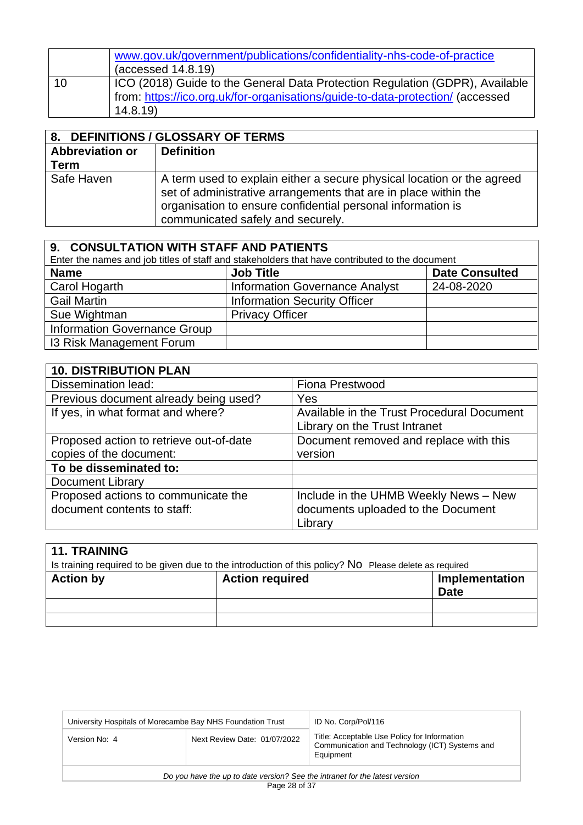|    | www.gov.uk/government/publications/confidentiality-nhs-code-of-practice        |
|----|--------------------------------------------------------------------------------|
|    | (accessed 14.8.19)                                                             |
| 10 | ICO (2018) Guide to the General Data Protection Regulation (GDPR), Available   |
|    | from: https://ico.org.uk/for-organisations/guide-to-data-protection/ (accessed |
|    | 14.8.19                                                                        |

<span id="page-27-0"></span>

| 8. DEFINITIONS / GLOSSARY OF TERMS |                                                                                                                                                                                                                                               |  |
|------------------------------------|-----------------------------------------------------------------------------------------------------------------------------------------------------------------------------------------------------------------------------------------------|--|
| <b>Abbreviation or</b>             | <b>Definition</b>                                                                                                                                                                                                                             |  |
| <b>Term</b>                        |                                                                                                                                                                                                                                               |  |
| Safe Haven                         | A term used to explain either a secure physical location or the agreed<br>set of administrative arrangements that are in place within the<br>organisation to ensure confidential personal information is<br>communicated safely and securely. |  |

<span id="page-27-1"></span>

| 9. CONSULTATION WITH STAFF AND PATIENTS |                                                                                                |                       |  |
|-----------------------------------------|------------------------------------------------------------------------------------------------|-----------------------|--|
|                                         | Enter the names and job titles of staff and stakeholders that have contributed to the document |                       |  |
| <b>Name</b>                             | <b>Job Title</b>                                                                               | <b>Date Consulted</b> |  |
| Carol Hogarth                           | <b>Information Governance Analyst</b>                                                          | 24-08-2020            |  |
| <b>Gail Martin</b>                      | <b>Information Security Officer</b>                                                            |                       |  |
| Sue Wightman                            | <b>Privacy Officer</b>                                                                         |                       |  |
| Information Governance Group            |                                                                                                |                       |  |
| 13 Risk Management Forum                |                                                                                                |                       |  |

<span id="page-27-2"></span>

| <b>10. DISTRIBUTION PLAN</b>            |                                            |
|-----------------------------------------|--------------------------------------------|
| <b>Dissemination lead:</b>              | <b>Fiona Prestwood</b>                     |
| Previous document already being used?   | Yes                                        |
| If yes, in what format and where?       | Available in the Trust Procedural Document |
|                                         | Library on the Trust Intranet              |
| Proposed action to retrieve out-of-date | Document removed and replace with this     |
| copies of the document:                 | version                                    |
| To be disseminated to:                  |                                            |
| <b>Document Library</b>                 |                                            |
| Proposed actions to communicate the     | Include in the UHMB Weekly News - New      |
| document contents to staff:             | documents uploaded to the Document         |
|                                         | Library                                    |

# <span id="page-27-3"></span>**11. TRAINING**

| Is training required to be given due to the introduction of this policy? No Please delete as required |                        |                |  |
|-------------------------------------------------------------------------------------------------------|------------------------|----------------|--|
| <b>Action by</b>                                                                                      | <b>Action required</b> | Implementation |  |
|                                                                                                       |                        | <b>Date</b>    |  |
|                                                                                                       |                        |                |  |
|                                                                                                       |                        |                |  |

| University Hospitals of Morecambe Bay NHS Foundation Trust                  |                              | ID No. Corp/Pol/116                                                                                         |  |
|-----------------------------------------------------------------------------|------------------------------|-------------------------------------------------------------------------------------------------------------|--|
| Version No: 4                                                               | Next Review Date: 01/07/2022 | Title: Acceptable Use Policy for Information<br>Communication and Technology (ICT) Systems and<br>Equipment |  |
| Do you have the up to date version? See the intranet for the latest version |                              |                                                                                                             |  |
| Page 28 of 37                                                               |                              |                                                                                                             |  |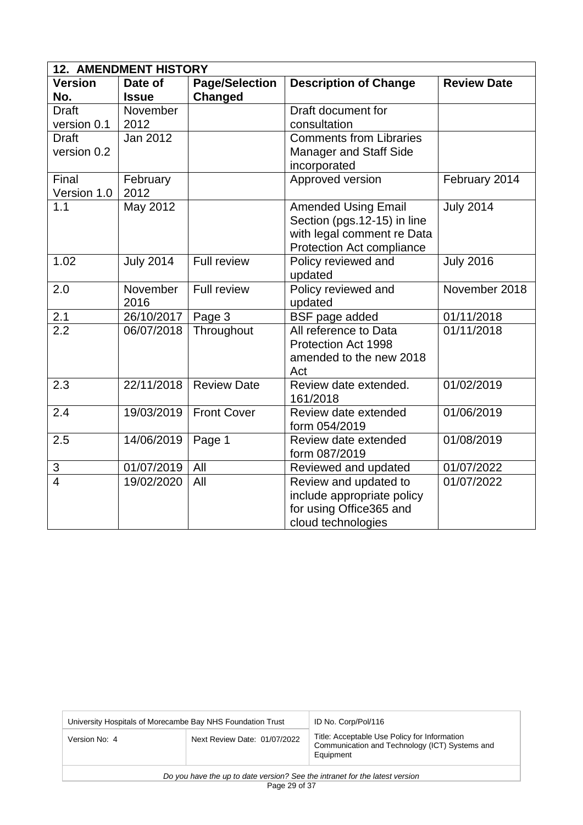<span id="page-28-0"></span>

| <b>12. AMENDMENT HISTORY</b> |                         |                                         |                                                                                                                      |                    |
|------------------------------|-------------------------|-----------------------------------------|----------------------------------------------------------------------------------------------------------------------|--------------------|
| <b>Version</b><br>No.        | Date of<br><b>Issue</b> | <b>Page/Selection</b><br><b>Changed</b> | <b>Description of Change</b>                                                                                         | <b>Review Date</b> |
| <b>Draft</b><br>version 0.1  | November<br>2012        |                                         | Draft document for<br>consultation                                                                                   |                    |
| <b>Draft</b><br>version 0.2  | Jan 2012                |                                         | <b>Comments from Libraries</b><br><b>Manager and Staff Side</b><br>incorporated                                      |                    |
| Final<br>Version 1.0         | February<br>2012        |                                         | Approved version                                                                                                     | February 2014      |
| 1.1                          | May 2012                |                                         | <b>Amended Using Email</b><br>Section (pgs.12-15) in line<br>with legal comment re Data<br>Protection Act compliance | <b>July 2014</b>   |
| 1.02                         | <b>July 2014</b>        | Full review                             | Policy reviewed and<br>updated                                                                                       | <b>July 2016</b>   |
| 2.0                          | November<br>2016        | Full review                             | Policy reviewed and<br>updated                                                                                       | November 2018      |
| 2.1                          | 26/10/2017              | Page 3                                  | <b>BSF</b> page added                                                                                                | 01/11/2018         |
| 2.2                          | 06/07/2018              | Throughout                              | All reference to Data<br>Protection Act 1998<br>amended to the new 2018<br>Act                                       | 01/11/2018         |
| 2.3                          | 22/11/2018              | <b>Review Date</b>                      | Review date extended.<br>161/2018                                                                                    | 01/02/2019         |
| 2.4                          | 19/03/2019              | <b>Front Cover</b>                      | Review date extended<br>form 054/2019                                                                                | 01/06/2019         |
| 2.5                          | 14/06/2019              | Page 1                                  | Review date extended<br>form 087/2019                                                                                | 01/08/2019         |
| 3                            | 01/07/2019              | All                                     | Reviewed and updated                                                                                                 | 01/07/2022         |
| $\overline{\mathbf{4}}$      | 19/02/2020              | All                                     | Review and updated to<br>include appropriate policy<br>for using Office365 and<br>cloud technologies                 | 01/07/2022         |

| University Hospitals of Morecambe Bay NHS Foundation Trust                                   |                              | ID No. Corp/Pol/116                                                                                         |  |
|----------------------------------------------------------------------------------------------|------------------------------|-------------------------------------------------------------------------------------------------------------|--|
| Version No: 4                                                                                | Next Review Date: 01/07/2022 | Title: Acceptable Use Policy for Information<br>Communication and Technology (ICT) Systems and<br>Equipment |  |
| Do you have the up to date version? See the intranet for the latest version<br>Page 29 of 37 |                              |                                                                                                             |  |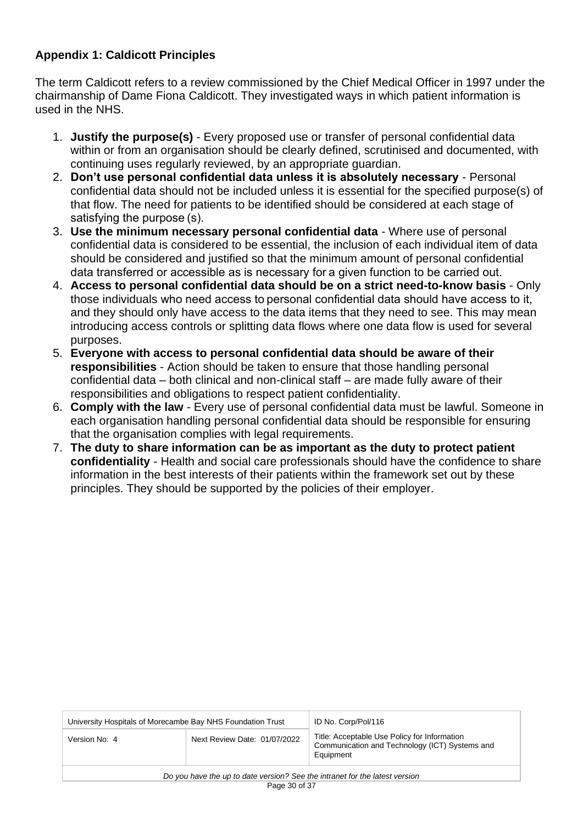### <span id="page-29-0"></span>**Appendix 1: Caldicott Principles**

The term Caldicott refers to a review commissioned by the Chief Medical Officer in 1997 under the chairmanship of Dame Fiona Caldicott. They investigated ways in which patient information is used in the NHS.

- 1. **Justify the purpose(s)** Every proposed use or transfer of personal confidential data within or from an organisation should be clearly defined, scrutinised and documented, with continuing uses regularly reviewed, by an appropriate guardian.
- 2. **Don't use personal confidential data unless it is absolutely necessary** Personal confidential data should not be included unless it is essential for the specified purpose(s) of that flow. The need for patients to be identified should be considered at each stage of satisfying the purpose (s).
- 3. **Use the minimum necessary personal confidential data**  Where use of personal confidential data is considered to be essential, the inclusion of each individual item of data should be considered and justified so that the minimum amount of personal confidential data transferred or accessible as is necessary for a given function to be carried out.
- 4. **Access to personal confidential data should be on a strict need-to-know basis** Only those individuals who need access to personal confidential data should have access to it, and they should only have access to the data items that they need to see. This may mean introducing access controls or splitting data flows where one data flow is used for several purposes.
- 5. **Everyone with access to personal confidential data should be aware of their responsibilities** - Action should be taken to ensure that those handling personal confidential data – both clinical and non-clinical staff – are made fully aware of their responsibilities and obligations to respect patient confidentiality.
- 6. **Comply with the law** Every use of personal confidential data must be lawful. Someone in each organisation handling personal confidential data should be responsible for ensuring that the organisation complies with legal requirements.
- 7. **The duty to share information can be as important as the duty to protect patient confidentiality** - Health and social care professionals should have the confidence to share information in the best interests of their patients within the framework set out by these principles. They should be supported by the policies of their employer.

| University Hospitals of Morecambe Bay NHS Foundation Trust                                   |                              | ID No. Corp/Pol/116                                                                                         |
|----------------------------------------------------------------------------------------------|------------------------------|-------------------------------------------------------------------------------------------------------------|
| Version No: 4                                                                                | Next Review Date: 01/07/2022 | Title: Acceptable Use Policy for Information<br>Communication and Technology (ICT) Systems and<br>Equipment |
| Do you have the up to date version? See the intranet for the latest version<br>Dess 20 25 77 |                              |                                                                                                             |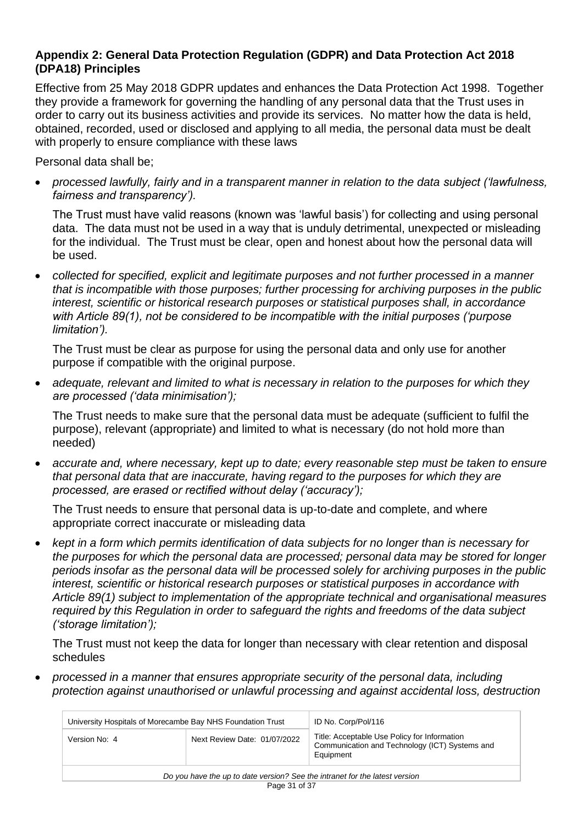#### <span id="page-30-0"></span>**Appendix 2: General Data Protection Regulation (GDPR) and Data Protection Act 2018 (DPA18) Principles**

Effective from 25 May 2018 GDPR updates and enhances the Data Protection Act 1998. Together they provide a framework for governing the handling of any personal data that the Trust uses in order to carry out its business activities and provide its services. No matter how the data is held, obtained, recorded, used or disclosed and applying to all media, the personal data must be dealt with properly to ensure compliance with these laws

Personal data shall be;

• *processed lawfully, fairly and in a transparent manner in relation to the data subject ('lawfulness, fairness and transparency').* 

The Trust must have valid reasons (known was 'lawful basis') for collecting and using personal data. The data must not be used in a way that is unduly detrimental, unexpected or misleading for the individual. The Trust must be clear, open and honest about how the personal data will be used.

• *collected for specified, explicit and legitimate purposes and not further processed in a manner that is incompatible with those purposes; further processing for archiving purposes in the public interest, scientific or historical research purposes or statistical purposes shall, in accordance with Article 89(1), not be considered to be incompatible with the initial purposes ('purpose limitation').* 

The Trust must be clear as purpose for using the personal data and only use for another purpose if compatible with the original purpose.

• *adequate, relevant and limited to what is necessary in relation to the purposes for which they are processed ('data minimisation');*

The Trust needs to make sure that the personal data must be adequate (sufficient to fulfil the purpose), relevant (appropriate) and limited to what is necessary (do not hold more than needed)

• *accurate and, where necessary, kept up to date; every reasonable step must be taken to ensure that personal data that are inaccurate, having regard to the purposes for which they are processed, are erased or rectified without delay ('accuracy');* 

The Trust needs to ensure that personal data is up-to-date and complete, and where appropriate correct inaccurate or misleading data

• *kept in a form which permits identification of data subjects for no longer than is necessary for the purposes for which the personal data are processed; personal data may be stored for longer periods insofar as the personal data will be processed solely for archiving purposes in the public interest, scientific or historical research purposes or statistical purposes in accordance with Article 89(1) subject to implementation of the appropriate technical and organisational measures required by this Regulation in order to safeguard the rights and freedoms of the data subject ('storage limitation');* 

The Trust must not keep the data for longer than necessary with clear retention and disposal schedules

• *processed in a manner that ensures appropriate security of the personal data, including protection against unauthorised or unlawful processing and against accidental loss, destruction* 

| University Hospitals of Morecambe Bay NHS Foundation Trust                  |                    | ID No. Corp/Pol/116                                                                                         |
|-----------------------------------------------------------------------------|--------------------|-------------------------------------------------------------------------------------------------------------|
| Next Review Date: 01/07/2022<br>Version No: 4                               |                    | Title: Acceptable Use Policy for Information<br>Communication and Technology (ICT) Systems and<br>Equipment |
| Do you have the up to date version? See the intranet for the latest version |                    |                                                                                                             |
|                                                                             | <b>D.J. 04.407</b> |                                                                                                             |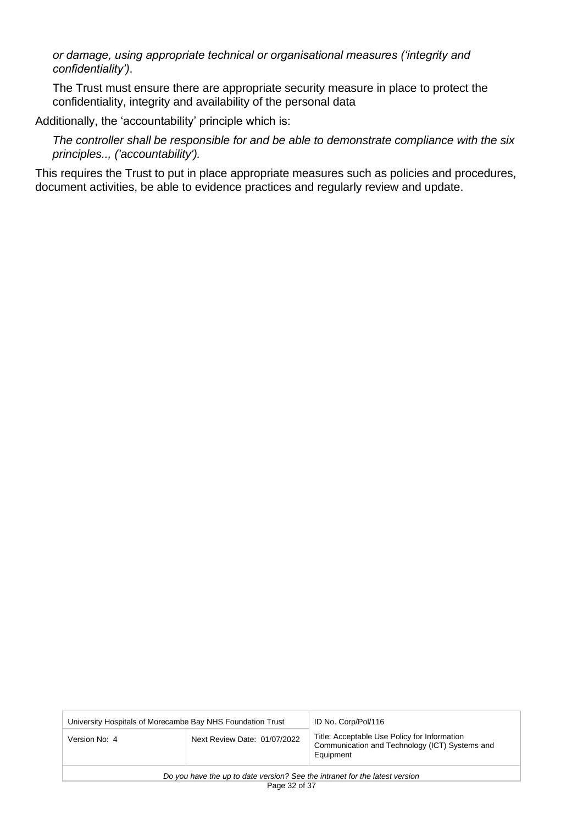*or damage, using appropriate technical or organisational measures ('integrity and confidentiality')*.

The Trust must ensure there are appropriate security measure in place to protect the confidentiality, integrity and availability of the personal data

Additionally, the 'accountability' principle which is:

*The controller shall be responsible for and be able to demonstrate compliance with the six principles.., ('accountability').*

This requires the Trust to put in place appropriate measures such as policies and procedures, document activities, be able to evidence practices and regularly review and update.

|                                                                             | ID No. Corp/Pol/116                                                                                         |  |  |
|-----------------------------------------------------------------------------|-------------------------------------------------------------------------------------------------------------|--|--|
| Next Review Date: 01/07/2022                                                | Title: Acceptable Use Policy for Information<br>Communication and Technology (ICT) Systems and<br>Equipment |  |  |
| Do you have the up to date version? See the intranet for the latest version |                                                                                                             |  |  |
|                                                                             | University Hospitals of Morecambe Bay NHS Foundation Trust<br>Page 32 of 37                                 |  |  |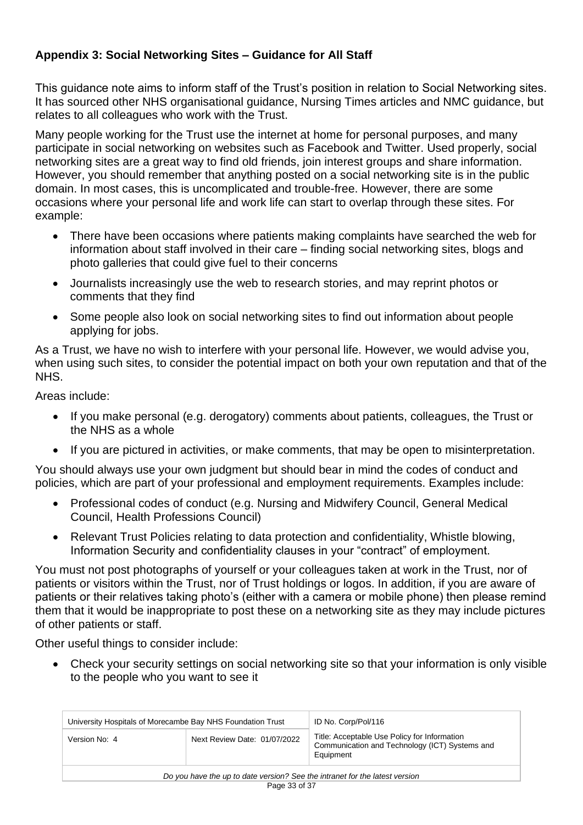## <span id="page-32-0"></span>**Appendix 3: Social Networking Sites – Guidance for All Staff**

This guidance note aims to inform staff of the Trust's position in relation to Social Networking sites. It has sourced other NHS organisational guidance, Nursing Times articles and NMC guidance, but relates to all colleagues who work with the Trust.

Many people working for the Trust use the internet at home for personal purposes, and many participate in social networking on websites such as Facebook and Twitter. Used properly, social networking sites are a great way to find old friends, join interest groups and share information. However, you should remember that anything posted on a social networking site is in the public domain. In most cases, this is uncomplicated and trouble-free. However, there are some occasions where your personal life and work life can start to overlap through these sites. For example:

- There have been occasions where patients making complaints have searched the web for information about staff involved in their care – finding social networking sites, blogs and photo galleries that could give fuel to their concerns
- Journalists increasingly use the web to research stories, and may reprint photos or comments that they find
- Some people also look on social networking sites to find out information about people applying for jobs.

As a Trust, we have no wish to interfere with your personal life. However, we would advise you, when using such sites, to consider the potential impact on both your own reputation and that of the NHS.

Areas include:

- If you make personal (e.g. derogatory) comments about patients, colleagues, the Trust or the NHS as a whole
- If you are pictured in activities, or make comments, that may be open to misinterpretation.

You should always use your own judgment but should bear in mind the codes of conduct and policies, which are part of your professional and employment requirements. Examples include:

- Professional codes of conduct (e.g. Nursing and Midwifery Council, General Medical Council, Health Professions Council)
- Relevant Trust Policies relating to data protection and confidentiality, Whistle blowing, Information Security and confidentiality clauses in your "contract" of employment.

You must not post photographs of yourself or your colleagues taken at work in the Trust, nor of patients or visitors within the Trust, nor of Trust holdings or logos. In addition, if you are aware of patients or their relatives taking photo's (either with a camera or mobile phone) then please remind them that it would be inappropriate to post these on a networking site as they may include pictures of other patients or staff.

Other useful things to consider include:

• Check your security settings on social networking site so that your information is only visible to the people who you want to see it

| University Hospitals of Morecambe Bay NHS Foundation Trust                  |                              | ID No. Corp/Pol/116                                                                                         |  |
|-----------------------------------------------------------------------------|------------------------------|-------------------------------------------------------------------------------------------------------------|--|
| Version No: 4                                                               | Next Review Date: 01/07/2022 | Title: Acceptable Use Policy for Information<br>Communication and Technology (ICT) Systems and<br>Equipment |  |
| Do you have the up to date version? See the intranet for the latest version |                              |                                                                                                             |  |
| Page 33 of 37                                                               |                              |                                                                                                             |  |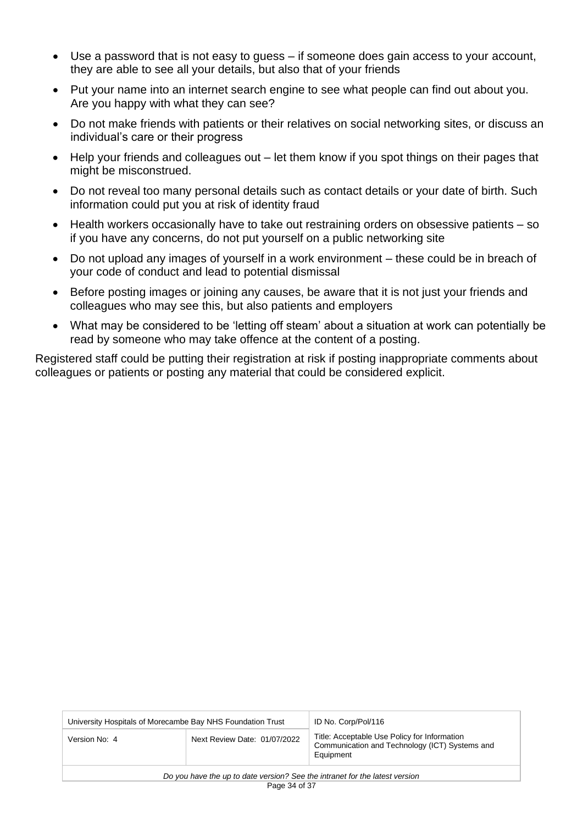- Use a password that is not easy to guess if someone does gain access to your account, they are able to see all your details, but also that of your friends
- Put your name into an internet search engine to see what people can find out about you. Are you happy with what they can see?
- Do not make friends with patients or their relatives on social networking sites, or discuss an individual's care or their progress
- Help your friends and colleagues out let them know if you spot things on their pages that might be misconstrued.
- Do not reveal too many personal details such as contact details or your date of birth. Such information could put you at risk of identity fraud
- Health workers occasionally have to take out restraining orders on obsessive patients so if you have any concerns, do not put yourself on a public networking site
- Do not upload any images of yourself in a work environment these could be in breach of your code of conduct and lead to potential dismissal
- Before posting images or joining any causes, be aware that it is not just your friends and colleagues who may see this, but also patients and employers
- What may be considered to be 'letting off steam' about a situation at work can potentially be read by someone who may take offence at the content of a posting.

Registered staff could be putting their registration at risk if posting inappropriate comments about colleagues or patients or posting any material that could be considered explicit.

| University Hospitals of Morecambe Bay NHS Foundation Trust                  |                              | ID No. Corp/Pol/116                                                                                         |  |
|-----------------------------------------------------------------------------|------------------------------|-------------------------------------------------------------------------------------------------------------|--|
| Version No: 4                                                               | Next Review Date: 01/07/2022 | Title: Acceptable Use Policy for Information<br>Communication and Technology (ICT) Systems and<br>Equipment |  |
| Do you have the up to date version? See the intranet for the latest version |                              |                                                                                                             |  |
| Page 34 of 37                                                               |                              |                                                                                                             |  |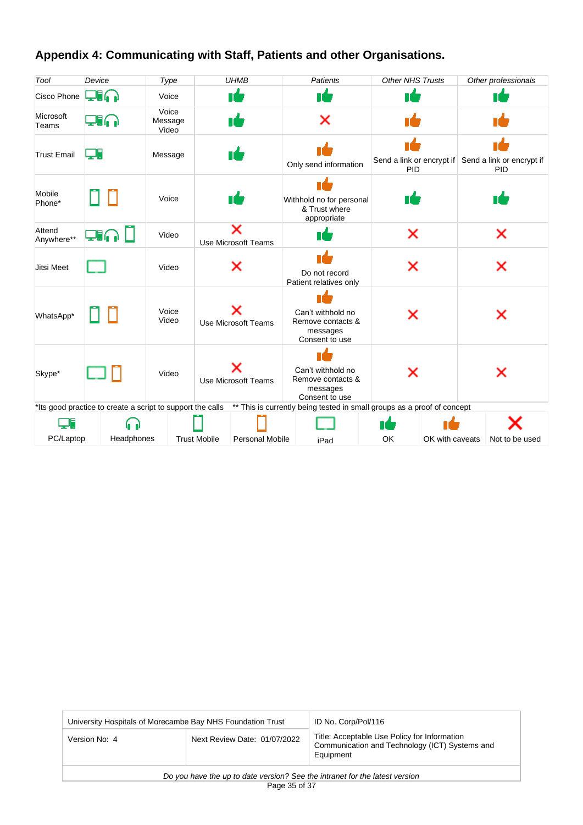#### *Tool Device Type UHMB Patients Other NHS Trusts Other professionals* ıċ ıċ Cisco Phone **The Community** Voice ıф ıė Voice Microsoft **IĆ** n<sup>4</sup> × 古じ Message Teams Video n4 K Trust Email **The State of the Message** ná Send a link or encrypt if Send a link or encrypt if Only send information PID PID né Mobile<br>Phone\* Voice **Voice** Withhold no for personal пË ná & Trust where appropriate × Attend Attend<br>Anywhere\*\* **Digital** Video × × ná Use Microsoft Teams × × × Jitsi Meet Video Do not record Patient relatives only n4 × WhatsApp\* **DEREVOICE** Voice Can't withhold no × × Use Microsoft Teams Remove contacts & messages Consent to use × Can't withhold no × × Skype\* **III** | Video Remove contacts & Use Microsoft Teams messages Consent to use \*Its good practice to create a script to support the calls \*\* This is currently being tested in small groups as a proof of concept ال 4 P ۱Ć m PC/Laptop Headphones Trust Mobile Personal Mobile iPad OK OK with caveats Not to be used

### <span id="page-34-0"></span>**Appendix 4: Communicating with Staff, Patients and other Organisations.**

| University Hospitals of Morecambe Bay NHS Foundation Trust                                   |                              | ID No. Corp/Pol/116                                                                                         |  |  |
|----------------------------------------------------------------------------------------------|------------------------------|-------------------------------------------------------------------------------------------------------------|--|--|
| Version No: 4                                                                                | Next Review Date: 01/07/2022 | Title: Acceptable Use Policy for Information<br>Communication and Technology (ICT) Systems and<br>Equipment |  |  |
| Do you have the up to date version? See the intranet for the latest version<br>Page 35 of 37 |                              |                                                                                                             |  |  |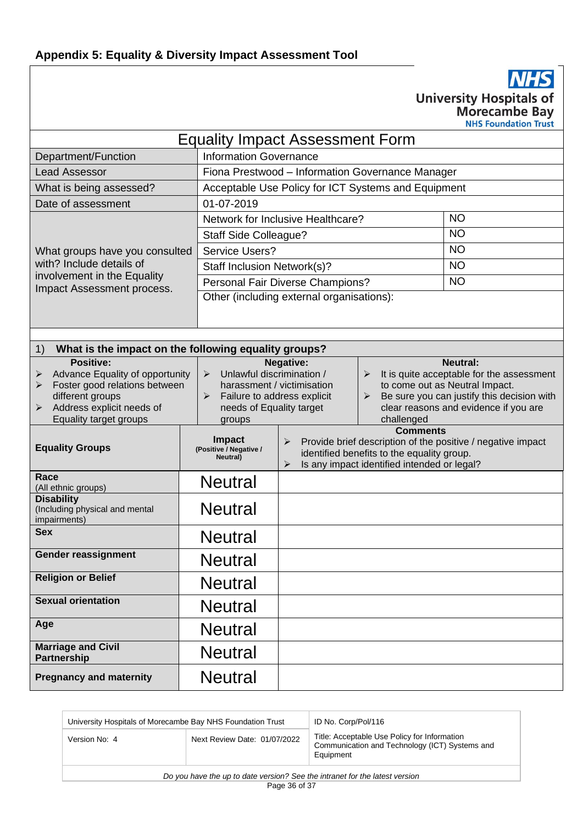University Hospitals of<br>Morecambe Bay

<span id="page-35-0"></span>

| <b>Equality Impact Assessment Form</b>                                                                                                                |                                                                                                                              |                                                                                                                                                                                                                               |                 |                                                                                                                                                                    |
|-------------------------------------------------------------------------------------------------------------------------------------------------------|------------------------------------------------------------------------------------------------------------------------------|-------------------------------------------------------------------------------------------------------------------------------------------------------------------------------------------------------------------------------|-----------------|--------------------------------------------------------------------------------------------------------------------------------------------------------------------|
| Department/Function                                                                                                                                   |                                                                                                                              | <b>Information Governance</b>                                                                                                                                                                                                 |                 |                                                                                                                                                                    |
| <b>Lead Assessor</b>                                                                                                                                  |                                                                                                                              | Fiona Prestwood - Information Governance Manager                                                                                                                                                                              |                 |                                                                                                                                                                    |
| What is being assessed?                                                                                                                               |                                                                                                                              | Acceptable Use Policy for ICT Systems and Equipment                                                                                                                                                                           |                 |                                                                                                                                                                    |
| Date of assessment                                                                                                                                    | 01-07-2019                                                                                                                   |                                                                                                                                                                                                                               |                 |                                                                                                                                                                    |
|                                                                                                                                                       |                                                                                                                              | <b>NO</b><br>Network for Inclusive Healthcare?                                                                                                                                                                                |                 |                                                                                                                                                                    |
|                                                                                                                                                       |                                                                                                                              | <b>Staff Side Colleague?</b>                                                                                                                                                                                                  |                 | <b>NO</b>                                                                                                                                                          |
| What groups have you consulted                                                                                                                        | Service Users?                                                                                                               |                                                                                                                                                                                                                               |                 | <b>NO</b>                                                                                                                                                          |
| with? Include details of<br>involvement in the Equality                                                                                               |                                                                                                                              | Staff Inclusion Network(s)?                                                                                                                                                                                                   |                 | <b>NO</b>                                                                                                                                                          |
| Impact Assessment process.                                                                                                                            |                                                                                                                              | Personal Fair Diverse Champions?                                                                                                                                                                                              |                 | <b>NO</b>                                                                                                                                                          |
|                                                                                                                                                       |                                                                                                                              | Other (including external organisations):                                                                                                                                                                                     |                 |                                                                                                                                                                    |
|                                                                                                                                                       |                                                                                                                              |                                                                                                                                                                                                                               |                 |                                                                                                                                                                    |
| What is the impact on the following equality groups?<br>1)<br><b>Positive:</b>                                                                        |                                                                                                                              | <b>Negative:</b>                                                                                                                                                                                                              |                 | <b>Neutral:</b>                                                                                                                                                    |
| Advance Equality of opportunity<br>➤<br>Foster good relations between<br>➤<br>different groups<br>Address explicit needs of<br>Equality target groups | Unlawful discrimination /<br>$\blacktriangleright$<br>Failure to address explicit<br>➤<br>needs of Equality target<br>groups | harassment / victimisation                                                                                                                                                                                                    | ➤<br>challenged | It is quite acceptable for the assessment<br>to come out as Neutral Impact.<br>Be sure you can justify this decision with<br>clear reasons and evidence if you are |
| <b>Equality Groups</b>                                                                                                                                | <b>Impact</b><br>(Positive / Negative /<br>Neutral)                                                                          | <b>Comments</b><br>Provide brief description of the positive / negative impact<br>$\blacktriangleright$<br>identified benefits to the equality group.<br>Is any impact identified intended or legal?<br>$\blacktriangleright$ |                 |                                                                                                                                                                    |
| Race<br>(All ethnic groups)                                                                                                                           | <b>Neutral</b>                                                                                                               |                                                                                                                                                                                                                               |                 |                                                                                                                                                                    |
| <b>Disability</b><br>(Including physical and mental<br>impairments)                                                                                   | <b>Neutral</b>                                                                                                               |                                                                                                                                                                                                                               |                 |                                                                                                                                                                    |
| Sex                                                                                                                                                   | <b>Neutral</b>                                                                                                               |                                                                                                                                                                                                                               |                 |                                                                                                                                                                    |
| <b>Gender reassignment</b>                                                                                                                            | Neutral                                                                                                                      |                                                                                                                                                                                                                               |                 |                                                                                                                                                                    |
| <b>Religion or Belief</b>                                                                                                                             | <b>Neutral</b>                                                                                                               |                                                                                                                                                                                                                               |                 |                                                                                                                                                                    |
| <b>Sexual orientation</b>                                                                                                                             | <b>Neutral</b>                                                                                                               |                                                                                                                                                                                                                               |                 |                                                                                                                                                                    |
| Age                                                                                                                                                   | <b>Neutral</b>                                                                                                               |                                                                                                                                                                                                                               |                 |                                                                                                                                                                    |
| <b>Marriage and Civil</b><br>Partnership                                                                                                              | <b>Neutral</b>                                                                                                               |                                                                                                                                                                                                                               |                 |                                                                                                                                                                    |
| <b>Pregnancy and maternity</b>                                                                                                                        | <b>Neutral</b>                                                                                                               |                                                                                                                                                                                                                               |                 |                                                                                                                                                                    |

| University Hospitals of Morecambe Bay NHS Foundation Trust                                   |                              | ID No. Corp/Pol/116                                                                                         |  |  |
|----------------------------------------------------------------------------------------------|------------------------------|-------------------------------------------------------------------------------------------------------------|--|--|
| Version No: 4                                                                                | Next Review Date: 01/07/2022 | Title: Acceptable Use Policy for Information<br>Communication and Technology (ICT) Systems and<br>Equipment |  |  |
| Do you have the up to date version? See the intranet for the latest version<br>Page 36 of 37 |                              |                                                                                                             |  |  |